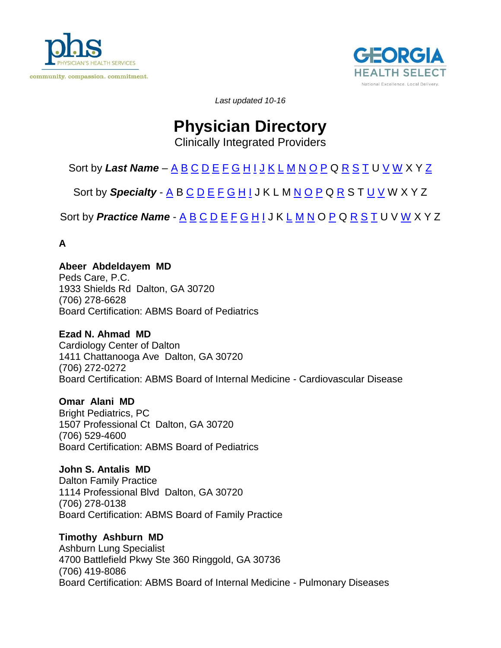<span id="page-0-1"></span>



*Last updated 10-16*

# **Physician Directory**

<span id="page-0-0"></span>Clinically Integrated Providers

## [S](#page-15-0)ort by *[L](#page-9-0)ast [N](#page-11-0)ame* – <u>[A](#page-0-0) [B](#page-1-0) [C](#page-20-0) [D](#page-3-0) [E](#page-4-0) [F](#page-5-0) [G](#page-5-1) [H](#page-6-0) [I](#page-7-0) [J](#page-8-0) [K](#page-8-1) L [M](#page-10-0) N [O](#page-12-0) [P](#page-12-1)</u> Q <u>R S [T](#page-16-0)</u> U <u>V [W](#page-18-0)</u> X Y <u>Z</u>

Sort by **Specialty** - [A](#page-19-1) B [C](#page-20-0) [D](#page-21-0) [E](#page-21-1) [F](#page-21-2) [G](#page-23-0) [H](#page-25-0) [I](#page-25-1) J K L M [N](#page-27-0) [O](#page-29-0) [P](#page-32-0) Q [R](#page-37-0) S T [U](#page-38-0) [V](#page-39-0) W X Y Z

[S](#page-46-1)ort by **Practice [N](#page-43-3)ame** - [A](#page-39-1) [B](#page-40-0) [C](#page-40-1) [D](#page-40-2) [E](#page-41-0) [F](#page-42-0) [G](#page-42-1) [H](#page-42-2) [I](#page-43-0) J K [L](#page-43-1) [M](#page-43-2) N O [P](#page-45-0) Q [R](#page-46-0) S [T](#page-46-2) U V [W](#page-46-3) X Y Z

**A**

**Abeer Abdeldayem MD** Peds Care, P.C. 1933 Shields Rd Dalton, GA 30720 (706) 278-6628 Board Certification: ABMS Board of Pediatrics

## **Ezad N. Ahmad MD**

Cardiology Center of Dalton 1411 Chattanooga Ave Dalton, GA 30720 (706) 272-0272 Board Certification: ABMS Board of Internal Medicine - Cardiovascular Disease

**Omar Alani MD**

Bright Pediatrics, PC 1507 Professional Ct Dalton, GA 30720 (706) 529-4600 Board Certification: ABMS Board of Pediatrics

**John S. Antalis MD** Dalton Family Practice 1114 Professional Blvd Dalton, GA 30720 (706) 278-0138 Board Certification: ABMS Board of Family Practice

**Timothy Ashburn MD** Ashburn Lung Specialist 4700 Battlefield Pkwy Ste 360 Ringgold, GA 30736 (706) 419-8086 Board Certification: ABMS Board of Internal Medicine - Pulmonary Diseases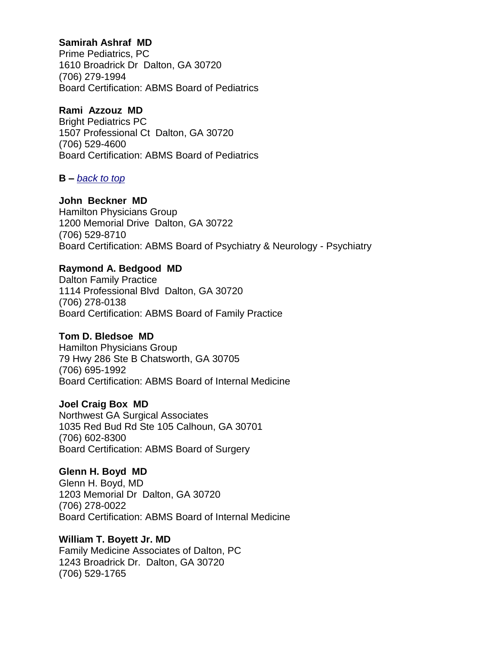## **Samirah Ashraf MD**

Prime Pediatrics, PC 1610 Broadrick Dr Dalton, GA 30720 (706) 279-1994 Board Certification: ABMS Board of Pediatrics

## **Rami Azzouz MD**

Bright Pediatrics PC 1507 Professional Ct Dalton, GA 30720 (706) 529-4600 Board Certification: ABMS Board of Pediatrics

## <span id="page-1-0"></span>**B –** *[back to top](#page-0-1)*

## **John Beckner MD**

Hamilton Physicians Group 1200 Memorial Drive Dalton, GA 30722 (706) 529-8710 Board Certification: ABMS Board of Psychiatry & Neurology - Psychiatry

## **Raymond A. Bedgood MD**

Dalton Family Practice 1114 Professional Blvd Dalton, GA 30720 (706) 278-0138 Board Certification: ABMS Board of Family Practice

## **Tom D. Bledsoe MD**

Hamilton Physicians Group 79 Hwy 286 Ste B Chatsworth, GA 30705 (706) 695-1992 Board Certification: ABMS Board of Internal Medicine

## **Joel Craig Box MD**

Northwest GA Surgical Associates 1035 Red Bud Rd Ste 105 Calhoun, GA 30701 (706) 602-8300 Board Certification: ABMS Board of Surgery

**Glenn H. Boyd MD** Glenn H. Boyd, MD 1203 Memorial Dr Dalton, GA 30720 (706) 278-0022 Board Certification: ABMS Board of Internal Medicine

**William T. Boyett Jr. MD** Family Medicine Associates of Dalton, PC 1243 Broadrick Dr. Dalton, GA 30720 (706) 529-1765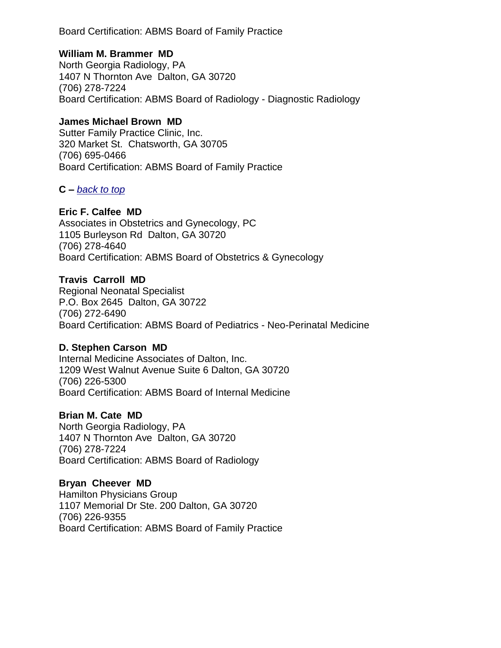Board Certification: ABMS Board of Family Practice

## **William M. Brammer MD**

North Georgia Radiology, PA 1407 N Thornton Ave Dalton, GA 30720 (706) 278-7224 Board Certification: ABMS Board of Radiology - Diagnostic Radiology

## **James Michael Brown MD**

Sutter Family Practice Clinic, Inc. 320 Market St. Chatsworth, GA 30705 (706) 695-0466 Board Certification: ABMS Board of Family Practice

## **C –** *[back to top](#page-0-1)*

## **Eric F. Calfee MD**

Associates in Obstetrics and Gynecology, PC 1105 Burleyson Rd Dalton, GA 30720 (706) 278-4640 Board Certification: ABMS Board of Obstetrics & Gynecology

## **Travis Carroll MD**

Regional Neonatal Specialist P.O. Box 2645 Dalton, GA 30722 (706) 272-6490 Board Certification: ABMS Board of Pediatrics - Neo-Perinatal Medicine

## **D. Stephen Carson MD**

Internal Medicine Associates of Dalton, Inc. 1209 West Walnut Avenue Suite 6 Dalton, GA 30720 (706) 226-5300 Board Certification: ABMS Board of Internal Medicine

## **Brian M. Cate MD**

North Georgia Radiology, PA 1407 N Thornton Ave Dalton, GA 30720 (706) 278-7224 Board Certification: ABMS Board of Radiology

## **Bryan Cheever MD**

Hamilton Physicians Group 1107 Memorial Dr Ste. 200 Dalton, GA 30720 (706) 226-9355 Board Certification: ABMS Board of Family Practice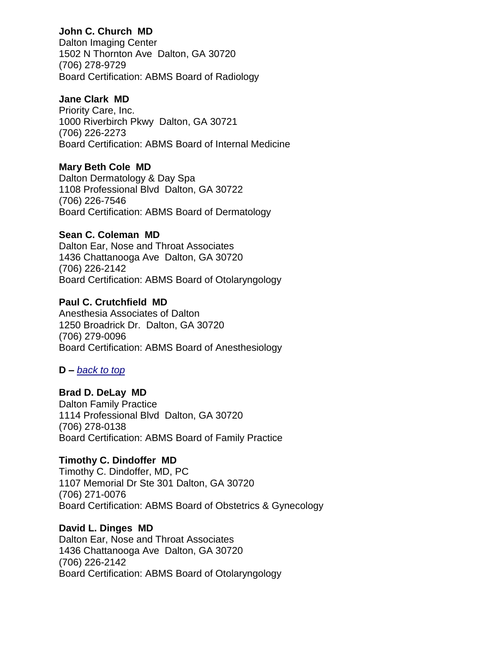## **John C. Church MD**

Dalton Imaging Center 1502 N Thornton Ave Dalton, GA 30720 (706) 278-9729 Board Certification: ABMS Board of Radiology

## **Jane Clark MD**

Priority Care, Inc. 1000 Riverbirch Pkwy Dalton, GA 30721 (706) 226-2273 Board Certification: ABMS Board of Internal Medicine

## **Mary Beth Cole MD**

Dalton Dermatology & Day Spa 1108 Professional Blvd Dalton, GA 30722 (706) 226-7546 Board Certification: ABMS Board of Dermatology

## **Sean C. Coleman MD**

Dalton Ear, Nose and Throat Associates 1436 Chattanooga Ave Dalton, GA 30720 (706) 226-2142 Board Certification: ABMS Board of Otolaryngology

## **Paul C. Crutchfield MD**

Anesthesia Associates of Dalton 1250 Broadrick Dr. Dalton, GA 30720 (706) 279-0096 Board Certification: ABMS Board of Anesthesiology

## <span id="page-3-0"></span>**D –** *[back to top](#page-0-1)*

**Brad D. DeLay MD** Dalton Family Practice 1114 Professional Blvd Dalton, GA 30720 (706) 278-0138 Board Certification: ABMS Board of Family Practice

## **Timothy C. Dindoffer MD**

Timothy C. Dindoffer, MD, PC 1107 Memorial Dr Ste 301 Dalton, GA 30720 (706) 271-0076 Board Certification: ABMS Board of Obstetrics & Gynecology

## **David L. Dinges MD**

Dalton Ear, Nose and Throat Associates 1436 Chattanooga Ave Dalton, GA 30720 (706) 226-2142 Board Certification: ABMS Board of Otolaryngology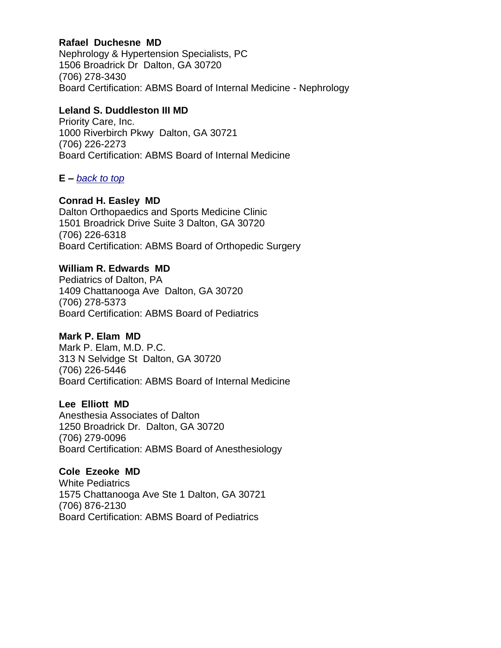## **Rafael Duchesne MD**

Nephrology & Hypertension Specialists, PC 1506 Broadrick Dr Dalton, GA 30720 (706) 278-3430 Board Certification: ABMS Board of Internal Medicine - Nephrology

## **Leland S. Duddleston III MD**

Priority Care, Inc. 1000 Riverbirch Pkwy Dalton, GA 30721 (706) 226-2273 Board Certification: ABMS Board of Internal Medicine

## <span id="page-4-0"></span>**E –** *[back to top](#page-0-1)*

## **Conrad H. Easley MD**

Dalton Orthopaedics and Sports Medicine Clinic 1501 Broadrick Drive Suite 3 Dalton, GA 30720 (706) 226-6318 Board Certification: ABMS Board of Orthopedic Surgery

## **William R. Edwards MD**

Pediatrics of Dalton, PA 1409 Chattanooga Ave Dalton, GA 30720 (706) 278-5373 Board Certification: ABMS Board of Pediatrics

## **Mark P. Elam MD**

Mark P. Elam, M.D. P.C. 313 N Selvidge St Dalton, GA 30720 (706) 226-5446 Board Certification: ABMS Board of Internal Medicine

## **Lee Elliott MD**

Anesthesia Associates of Dalton 1250 Broadrick Dr. Dalton, GA 30720 (706) 279-0096 Board Certification: ABMS Board of Anesthesiology

#### **Cole Ezeoke MD** White Pediatrics

1575 Chattanooga Ave Ste 1 Dalton, GA 30721 (706) 876-2130 Board Certification: ABMS Board of Pediatrics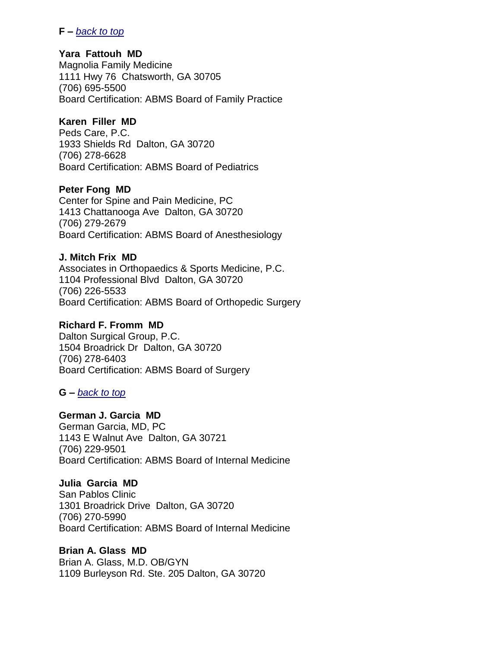### <span id="page-5-0"></span>**F –** *[back to top](#page-0-1)*

### **Yara Fattouh MD**

Magnolia Family Medicine 1111 Hwy 76 Chatsworth, GA 30705 (706) 695-5500 Board Certification: ABMS Board of Family Practice

## **Karen Filler MD**

Peds Care, P.C. 1933 Shields Rd Dalton, GA 30720 (706) 278-6628 Board Certification: ABMS Board of Pediatrics

## **Peter Fong MD**

Center for Spine and Pain Medicine, PC 1413 Chattanooga Ave Dalton, GA 30720 (706) 279-2679 Board Certification: ABMS Board of Anesthesiology

## **J. Mitch Frix MD**

Associates in Orthopaedics & Sports Medicine, P.C. 1104 Professional Blvd Dalton, GA 30720 (706) 226-5533 Board Certification: ABMS Board of Orthopedic Surgery

## **Richard F. Fromm MD**

Dalton Surgical Group, P.C. 1504 Broadrick Dr Dalton, GA 30720 (706) 278-6403 Board Certification: ABMS Board of Surgery

## <span id="page-5-1"></span>**G –** *[back to top](#page-0-1)*

## **German J. Garcia MD**

German Garcia, MD, PC 1143 E Walnut Ave Dalton, GA 30721 (706) 229-9501 Board Certification: ABMS Board of Internal Medicine

## **Julia Garcia MD**

San Pablos Clinic 1301 Broadrick Drive Dalton, GA 30720 (706) 270-5990 Board Certification: ABMS Board of Internal Medicine

## **Brian A. Glass MD**

Brian A. Glass, M.D. OB/GYN 1109 Burleyson Rd. Ste. 205 Dalton, GA 30720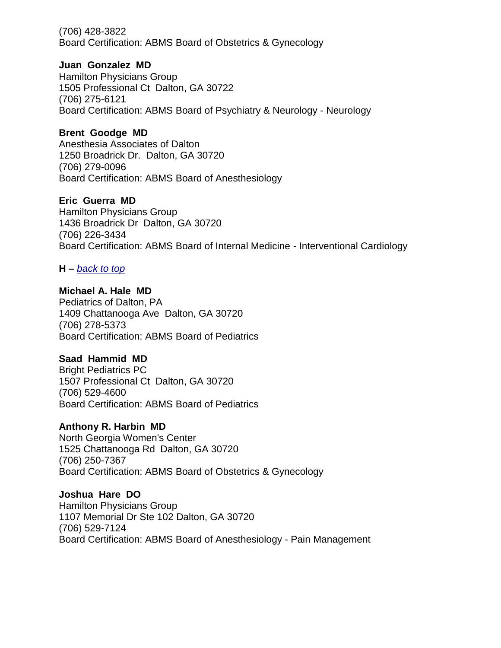(706) 428-3822 Board Certification: ABMS Board of Obstetrics & Gynecology

## **Juan Gonzalez MD**

Hamilton Physicians Group 1505 Professional Ct Dalton, GA 30722 (706) 275-6121 Board Certification: ABMS Board of Psychiatry & Neurology - Neurology

## **Brent Goodge MD**

Anesthesia Associates of Dalton 1250 Broadrick Dr. Dalton, GA 30720 (706) 279-0096 Board Certification: ABMS Board of Anesthesiology

## **Eric Guerra MD**

Hamilton Physicians Group 1436 Broadrick Dr Dalton, GA 30720 (706) 226-3434 Board Certification: ABMS Board of Internal Medicine - Interventional Cardiology

## <span id="page-6-0"></span>**H –** *[back to top](#page-0-1)*

## **Michael A. Hale MD**

Pediatrics of Dalton, PA 1409 Chattanooga Ave Dalton, GA 30720 (706) 278-5373 Board Certification: ABMS Board of Pediatrics

## **Saad Hammid MD**

Bright Pediatrics PC 1507 Professional Ct Dalton, GA 30720 (706) 529-4600 Board Certification: ABMS Board of Pediatrics

## **Anthony R. Harbin MD**

North Georgia Women's Center 1525 Chattanooga Rd Dalton, GA 30720 (706) 250-7367 Board Certification: ABMS Board of Obstetrics & Gynecology

## **Joshua Hare DO**

Hamilton Physicians Group 1107 Memorial Dr Ste 102 Dalton, GA 30720 (706) 529-7124 Board Certification: ABMS Board of Anesthesiology - Pain Management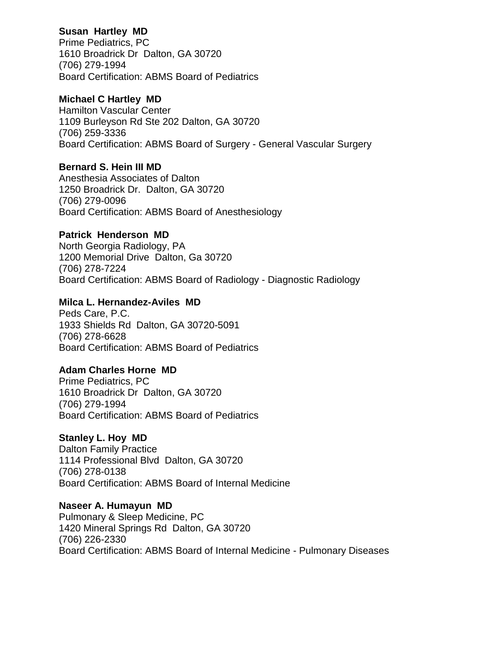## **Susan Hartley MD**

Prime Pediatrics, PC 1610 Broadrick Dr Dalton, GA 30720 (706) 279-1994 Board Certification: ABMS Board of Pediatrics

## **Michael C Hartley MD**

Hamilton Vascular Center 1109 Burleyson Rd Ste 202 Dalton, GA 30720 (706) 259-3336 Board Certification: ABMS Board of Surgery - General Vascular Surgery

## **Bernard S. Hein III MD**

Anesthesia Associates of Dalton 1250 Broadrick Dr. Dalton, GA 30720 (706) 279-0096 Board Certification: ABMS Board of Anesthesiology

## **Patrick Henderson MD**

North Georgia Radiology, PA 1200 Memorial Drive Dalton, Ga 30720 (706) 278-7224 Board Certification: ABMS Board of Radiology - Diagnostic Radiology

## **Milca L. Hernandez-Aviles MD**

Peds Care, P.C. 1933 Shields Rd Dalton, GA 30720-5091 (706) 278-6628 Board Certification: ABMS Board of Pediatrics

## **Adam Charles Horne MD**

Prime Pediatrics, PC 1610 Broadrick Dr Dalton, GA 30720 (706) 279-1994 Board Certification: ABMS Board of Pediatrics

## **Stanley L. Hoy MD**

Dalton Family Practice 1114 Professional Blvd Dalton, GA 30720 (706) 278-0138 Board Certification: ABMS Board of Internal Medicine

## **Naseer A. Humayun MD**

<span id="page-7-0"></span>Pulmonary & Sleep Medicine, PC 1420 Mineral Springs Rd Dalton, GA 30720 (706) 226-2330 Board Certification: ABMS Board of Internal Medicine - Pulmonary Diseases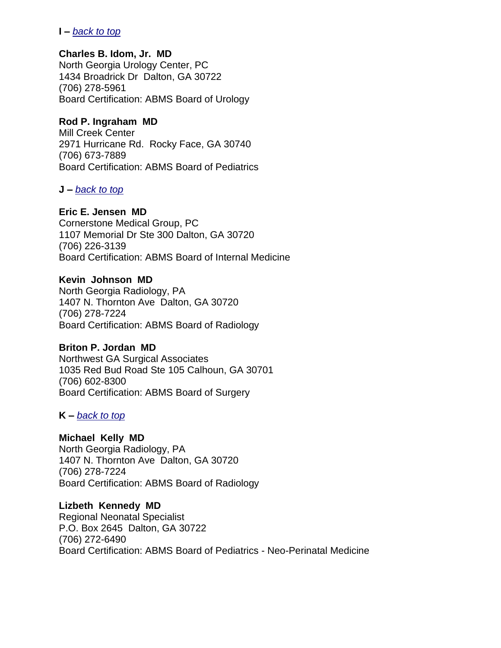## **I –** *[back to top](#page-0-1)*

### **Charles B. Idom, Jr. MD**

North Georgia Urology Center, PC 1434 Broadrick Dr Dalton, GA 30722 (706) 278-5961 Board Certification: ABMS Board of Urology

## **Rod P. Ingraham MD**

Mill Creek Center 2971 Hurricane Rd. Rocky Face, GA 30740 (706) 673-7889 Board Certification: ABMS Board of Pediatrics

## <span id="page-8-0"></span>**J –** *[back to top](#page-0-1)*

## **Eric E. Jensen MD**

Cornerstone Medical Group, PC 1107 Memorial Dr Ste 300 Dalton, GA 30720 (706) 226-3139 Board Certification: ABMS Board of Internal Medicine

## **Kevin Johnson MD**

North Georgia Radiology, PA 1407 N. Thornton Ave Dalton, GA 30720 (706) 278-7224 Board Certification: ABMS Board of Radiology

## **Briton P. Jordan MD**

Northwest GA Surgical Associates 1035 Red Bud Road Ste 105 Calhoun, GA 30701 (706) 602-8300 Board Certification: ABMS Board of Surgery

## <span id="page-8-1"></span>**K –** *[back to top](#page-0-1)*

## **Michael Kelly MD**

North Georgia Radiology, PA 1407 N. Thornton Ave Dalton, GA 30720 (706) 278-7224 Board Certification: ABMS Board of Radiology

**Lizbeth Kennedy MD** Regional Neonatal Specialist P.O. Box 2645 Dalton, GA 30722 (706) 272-6490 Board Certification: ABMS Board of Pediatrics - Neo-Perinatal Medicine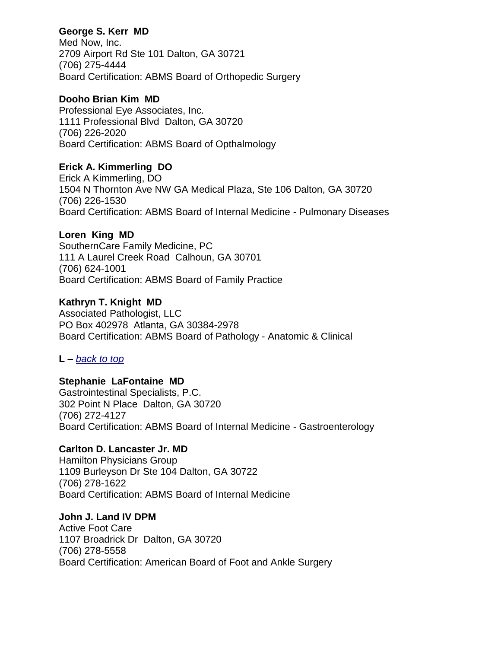## **George S. Kerr MD**

Med Now, Inc. 2709 Airport Rd Ste 101 Dalton, GA 30721 (706) 275-4444 Board Certification: ABMS Board of Orthopedic Surgery

## **Dooho Brian Kim MD**

Professional Eye Associates, Inc. 1111 Professional Blvd Dalton, GA 30720 (706) 226-2020 Board Certification: ABMS Board of Opthalmology

## **Erick A. Kimmerling DO**

Erick A Kimmerling, DO 1504 N Thornton Ave NW GA Medical Plaza, Ste 106 Dalton, GA 30720 (706) 226-1530 Board Certification: ABMS Board of Internal Medicine - Pulmonary Diseases

## **Loren King MD**

SouthernCare Family Medicine, PC 111 A Laurel Creek Road Calhoun, GA 30701 (706) 624-1001 Board Certification: ABMS Board of Family Practice

## **Kathryn T. Knight MD**

Associated Pathologist, LLC PO Box 402978 Atlanta, GA 30384-2978 Board Certification: ABMS Board of Pathology - Anatomic & Clinical

## <span id="page-9-0"></span>**L –** *[back to top](#page-0-1)*

## **Stephanie LaFontaine MD**

Gastrointestinal Specialists, P.C. 302 Point N Place Dalton, GA 30720 (706) 272-4127 Board Certification: ABMS Board of Internal Medicine - Gastroenterology

## **Carlton D. Lancaster Jr. MD**

Hamilton Physicians Group 1109 Burleyson Dr Ste 104 Dalton, GA 30722 (706) 278-1622 Board Certification: ABMS Board of Internal Medicine

## **John J. Land IV DPM**

Active Foot Care 1107 Broadrick Dr Dalton, GA 30720 (706) 278-5558 Board Certification: American Board of Foot and Ankle Surgery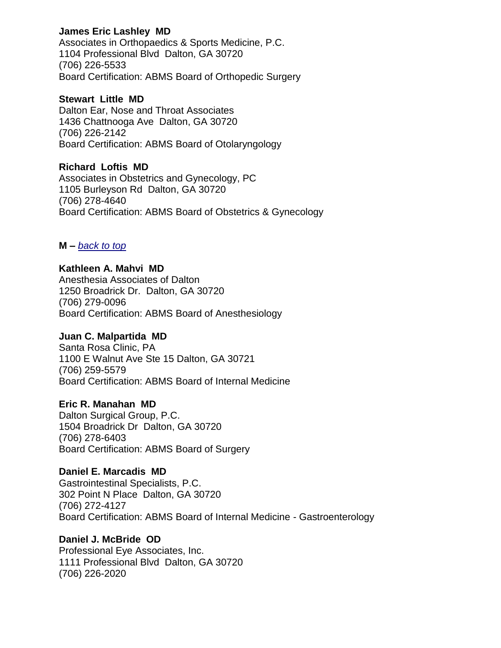## **James Eric Lashley MD**

Associates in Orthopaedics & Sports Medicine, P.C. 1104 Professional Blvd Dalton, GA 30720 (706) 226-5533 Board Certification: ABMS Board of Orthopedic Surgery

### **Stewart Little MD**

Dalton Ear, Nose and Throat Associates 1436 Chattnooga Ave Dalton, GA 30720 (706) 226-2142 Board Certification: ABMS Board of Otolaryngology

## **Richard Loftis MD**

Associates in Obstetrics and Gynecology, PC 1105 Burleyson Rd Dalton, GA 30720 (706) 278-4640 Board Certification: ABMS Board of Obstetrics & Gynecology

## <span id="page-10-0"></span>**M –** *[back to top](#page-0-1)*

## **Kathleen A. Mahvi MD**

Anesthesia Associates of Dalton 1250 Broadrick Dr. Dalton, GA 30720 (706) 279-0096 Board Certification: ABMS Board of Anesthesiology

## **Juan C. Malpartida MD**

Santa Rosa Clinic, PA 1100 E Walnut Ave Ste 15 Dalton, GA 30721 (706) 259-5579 Board Certification: ABMS Board of Internal Medicine

## **Eric R. Manahan MD**

Dalton Surgical Group, P.C. 1504 Broadrick Dr Dalton, GA 30720 (706) 278-6403 Board Certification: ABMS Board of Surgery

## **Daniel E. Marcadis MD**

Gastrointestinal Specialists, P.C. 302 Point N Place Dalton, GA 30720 (706) 272-4127 Board Certification: ABMS Board of Internal Medicine - Gastroenterology

## **Daniel J. McBride OD**

Professional Eye Associates, Inc. 1111 Professional Blvd Dalton, GA 30720 (706) 226-2020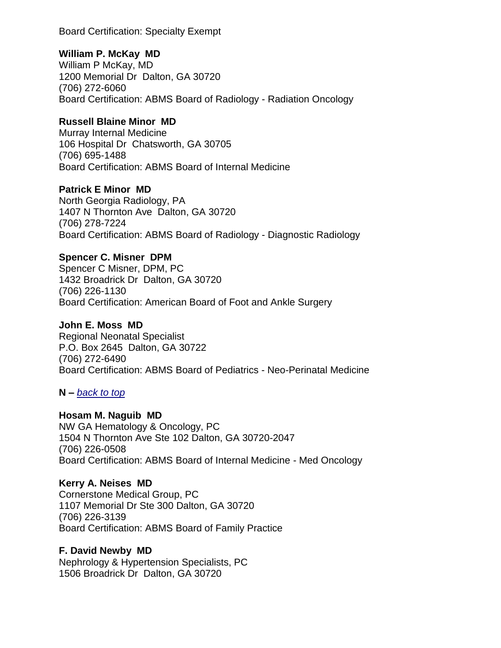Board Certification: Specialty Exempt

## **William P. McKay MD**

William P McKay, MD 1200 Memorial Dr Dalton, GA 30720 (706) 272-6060 Board Certification: ABMS Board of Radiology - Radiation Oncology

## **Russell Blaine Minor MD**

Murray Internal Medicine 106 Hospital Dr Chatsworth, GA 30705 (706) 695-1488 Board Certification: ABMS Board of Internal Medicine

## **Patrick E Minor MD**

North Georgia Radiology, PA 1407 N Thornton Ave Dalton, GA 30720 (706) 278-7224 Board Certification: ABMS Board of Radiology - Diagnostic Radiology

## **Spencer C. Misner DPM**

Spencer C Misner, DPM, PC 1432 Broadrick Dr Dalton, GA 30720 (706) 226-1130 Board Certification: American Board of Foot and Ankle Surgery

## **John E. Moss MD**

Regional Neonatal Specialist P.O. Box 2645 Dalton, GA 30722 (706) 272-6490 Board Certification: ABMS Board of Pediatrics - Neo-Perinatal Medicine

## <span id="page-11-0"></span>**N –** *[back to top](#page-0-1)*

## **Hosam M. Naguib MD**

NW GA Hematology & Oncology, PC 1504 N Thornton Ave Ste 102 Dalton, GA 30720-2047 (706) 226-0508 Board Certification: ABMS Board of Internal Medicine - Med Oncology

## **Kerry A. Neises MD**

Cornerstone Medical Group, PC 1107 Memorial Dr Ste 300 Dalton, GA 30720 (706) 226-3139 Board Certification: ABMS Board of Family Practice

## **F. David Newby MD**

Nephrology & Hypertension Specialists, PC 1506 Broadrick Dr Dalton, GA 30720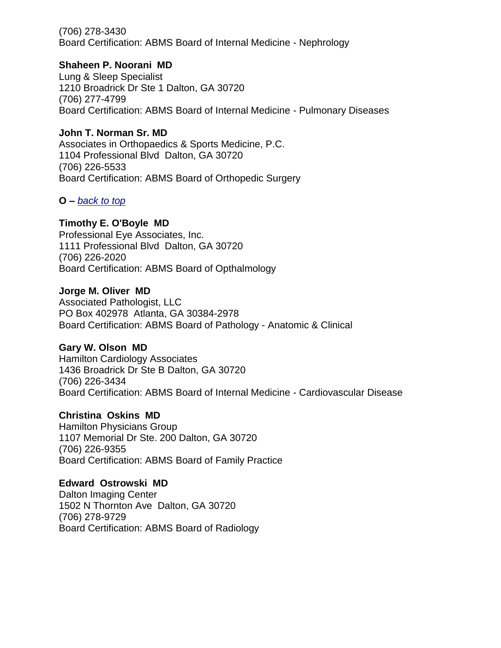(706) 278-3430 Board Certification: ABMS Board of Internal Medicine - Nephrology

### **Shaheen P. Noorani MD**

Lung & Sleep Specialist 1210 Broadrick Dr Ste 1 Dalton, GA 30720 (706) 277-4799 Board Certification: ABMS Board of Internal Medicine - Pulmonary Diseases

## **John T. Norman Sr. MD**

Associates in Orthopaedics & Sports Medicine, P.C. 1104 Professional Blvd Dalton, GA 30720 (706) 226-5533 Board Certification: ABMS Board of Orthopedic Surgery

## <span id="page-12-0"></span>**O –** *[back to top](#page-0-1)*

## **Timothy E. O'Boyle MD**

Professional Eye Associates, Inc. 1111 Professional Blvd Dalton, GA 30720 (706) 226-2020 Board Certification: ABMS Board of Opthalmology

### **Jorge M. Oliver MD**

Associated Pathologist, LLC PO Box 402978 Atlanta, GA 30384-2978 Board Certification: ABMS Board of Pathology - Anatomic & Clinical

## **Gary W. Olson MD**

Hamilton Cardiology Associates 1436 Broadrick Dr Ste B Dalton, GA 30720 (706) 226-3434 Board Certification: ABMS Board of Internal Medicine - Cardiovascular Disease

## **Christina Oskins MD**

Hamilton Physicians Group 1107 Memorial Dr Ste. 200 Dalton, GA 30720 (706) 226-9355 Board Certification: ABMS Board of Family Practice

## **Edward Ostrowski MD**

<span id="page-12-1"></span>Dalton Imaging Center 1502 N Thornton Ave Dalton, GA 30720 (706) 278-9729 Board Certification: ABMS Board of Radiology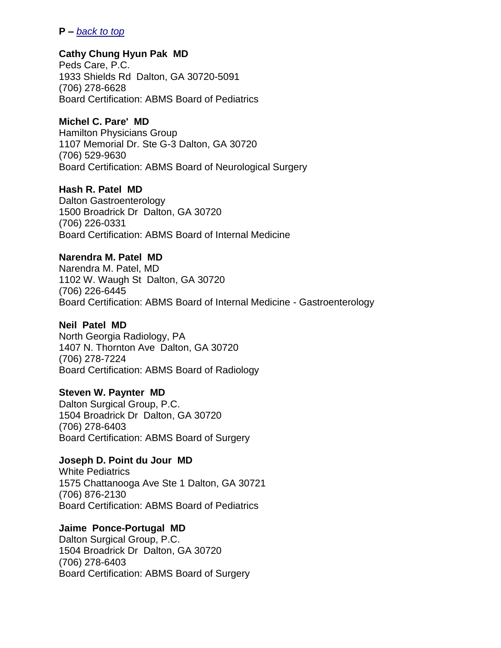### **P –** *[back to top](#page-0-1)*

## **Cathy Chung Hyun Pak MD**

Peds Care, P.C. 1933 Shields Rd Dalton, GA 30720-5091 (706) 278-6628 Board Certification: ABMS Board of Pediatrics

## **Michel C. Pare' MD**

Hamilton Physicians Group 1107 Memorial Dr. Ste G-3 Dalton, GA 30720 (706) 529-9630 Board Certification: ABMS Board of Neurological Surgery

## **Hash R. Patel MD**

Dalton Gastroenterology 1500 Broadrick Dr Dalton, GA 30720 (706) 226-0331 Board Certification: ABMS Board of Internal Medicine

## **Narendra M. Patel MD**

Narendra M. Patel, MD 1102 W. Waugh St Dalton, GA 30720 (706) 226-6445 Board Certification: ABMS Board of Internal Medicine - Gastroenterology

### **Neil Patel MD**

North Georgia Radiology, PA 1407 N. Thornton Ave Dalton, GA 30720 (706) 278-7224 Board Certification: ABMS Board of Radiology

### **Steven W. Paynter MD**

Dalton Surgical Group, P.C. 1504 Broadrick Dr Dalton, GA 30720 (706) 278-6403 Board Certification: ABMS Board of Surgery

## **Joseph D. Point du Jour MD**

White Pediatrics 1575 Chattanooga Ave Ste 1 Dalton, GA 30721 (706) 876-2130 Board Certification: ABMS Board of Pediatrics

## **Jaime Ponce-Portugal MD**

Dalton Surgical Group, P.C. 1504 Broadrick Dr Dalton, GA 30720 (706) 278-6403 Board Certification: ABMS Board of Surgery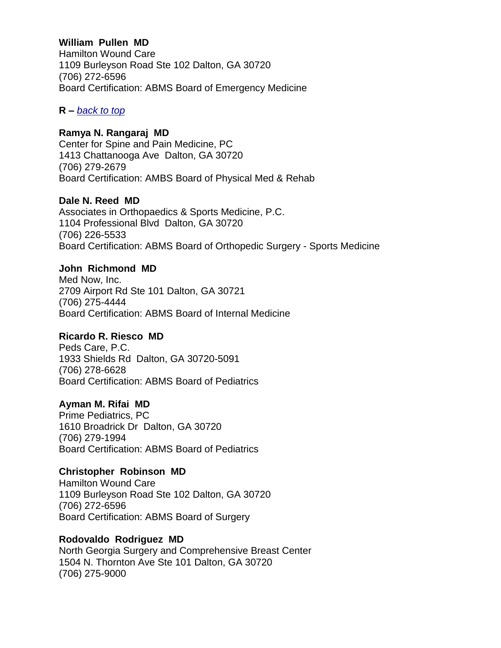## **William Pullen MD**

Hamilton Wound Care 1109 Burleyson Road Ste 102 Dalton, GA 30720 (706) 272-6596 Board Certification: ABMS Board of Emergency Medicine

<span id="page-14-0"></span>**R –** *[back to top](#page-0-1)*

## **Ramya N. Rangaraj MD**

Center for Spine and Pain Medicine, PC 1413 Chattanooga Ave Dalton, GA 30720 (706) 279-2679 Board Certification: AMBS Board of Physical Med & Rehab

## **Dale N. Reed MD**

Associates in Orthopaedics & Sports Medicine, P.C. 1104 Professional Blvd Dalton, GA 30720 (706) 226-5533 Board Certification: ABMS Board of Orthopedic Surgery - Sports Medicine

## **John Richmond MD**

Med Now, Inc. 2709 Airport Rd Ste 101 Dalton, GA 30721 (706) 275-4444 Board Certification: ABMS Board of Internal Medicine

## **Ricardo R. Riesco MD**

Peds Care, P.C. 1933 Shields Rd Dalton, GA 30720-5091 (706) 278-6628 Board Certification: ABMS Board of Pediatrics

## **Ayman M. Rifai MD**

Prime Pediatrics, PC 1610 Broadrick Dr Dalton, GA 30720 (706) 279-1994 Board Certification: ABMS Board of Pediatrics

## **Christopher Robinson MD**

Hamilton Wound Care 1109 Burleyson Road Ste 102 Dalton, GA 30720 (706) 272-6596 Board Certification: ABMS Board of Surgery

## **Rodovaldo Rodriguez MD**

North Georgia Surgery and Comprehensive Breast Center 1504 N. Thornton Ave Ste 101 Dalton, GA 30720 (706) 275-9000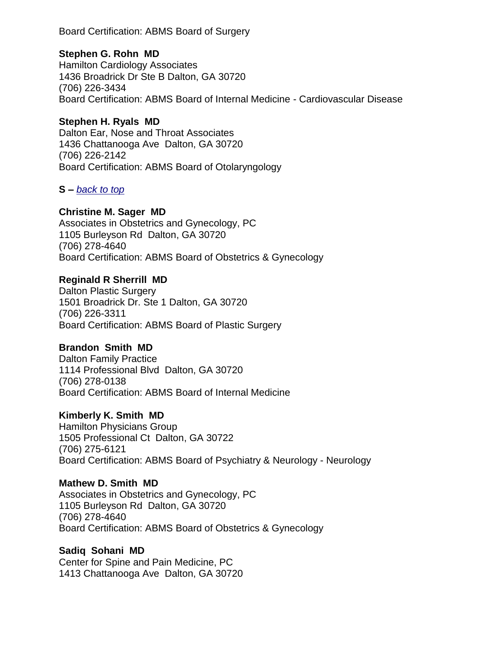Board Certification: ABMS Board of Surgery

## **Stephen G. Rohn MD**

Hamilton Cardiology Associates 1436 Broadrick Dr Ste B Dalton, GA 30720 (706) 226-3434 Board Certification: ABMS Board of Internal Medicine - Cardiovascular Disease

## **Stephen H. Ryals MD**

Dalton Ear, Nose and Throat Associates 1436 Chattanooga Ave Dalton, GA 30720 (706) 226-2142 Board Certification: ABMS Board of Otolaryngology

## <span id="page-15-0"></span>**S –** *[back to top](#page-0-1)*

## **Christine M. Sager MD**

Associates in Obstetrics and Gynecology, PC 1105 Burleyson Rd Dalton, GA 30720 (706) 278-4640 Board Certification: ABMS Board of Obstetrics & Gynecology

## **Reginald R Sherrill MD**

Dalton Plastic Surgery 1501 Broadrick Dr. Ste 1 Dalton, GA 30720 (706) 226-3311 Board Certification: ABMS Board of Plastic Surgery

## **Brandon Smith MD**

Dalton Family Practice 1114 Professional Blvd Dalton, GA 30720 (706) 278-0138 Board Certification: ABMS Board of Internal Medicine

## **Kimberly K. Smith MD**

Hamilton Physicians Group 1505 Professional Ct Dalton, GA 30722 (706) 275-6121 Board Certification: ABMS Board of Psychiatry & Neurology - Neurology

## **Mathew D. Smith MD**

Associates in Obstetrics and Gynecology, PC 1105 Burleyson Rd Dalton, GA 30720 (706) 278-4640 Board Certification: ABMS Board of Obstetrics & Gynecology

## **Sadiq Sohani MD**

Center for Spine and Pain Medicine, PC 1413 Chattanooga Ave Dalton, GA 30720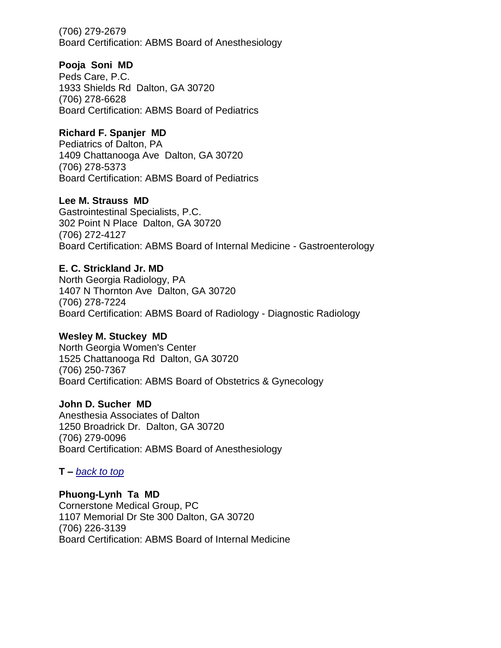(706) 279-2679 Board Certification: ABMS Board of Anesthesiology

## **Pooja Soni MD**

Peds Care, P.C. 1933 Shields Rd Dalton, GA 30720 (706) 278-6628 Board Certification: ABMS Board of Pediatrics

## **Richard F. Spanjer MD**

Pediatrics of Dalton, PA 1409 Chattanooga Ave Dalton, GA 30720 (706) 278-5373 Board Certification: ABMS Board of Pediatrics

## **Lee M. Strauss MD**

Gastrointestinal Specialists, P.C. 302 Point N Place Dalton, GA 30720 (706) 272-4127 Board Certification: ABMS Board of Internal Medicine - Gastroenterology

## **E. C. Strickland Jr. MD**

North Georgia Radiology, PA 1407 N Thornton Ave Dalton, GA 30720 (706) 278-7224 Board Certification: ABMS Board of Radiology - Diagnostic Radiology

## **Wesley M. Stuckey MD**

North Georgia Women's Center 1525 Chattanooga Rd Dalton, GA 30720 (706) 250-7367 Board Certification: ABMS Board of Obstetrics & Gynecology

## **John D. Sucher MD**

Anesthesia Associates of Dalton 1250 Broadrick Dr. Dalton, GA 30720 (706) 279-0096 Board Certification: ABMS Board of Anesthesiology

<span id="page-16-0"></span>**T –** *[back to top](#page-0-1)*

## **Phuong-Lynh Ta MD**

Cornerstone Medical Group, PC 1107 Memorial Dr Ste 300 Dalton, GA 30720 (706) 226-3139 Board Certification: ABMS Board of Internal Medicine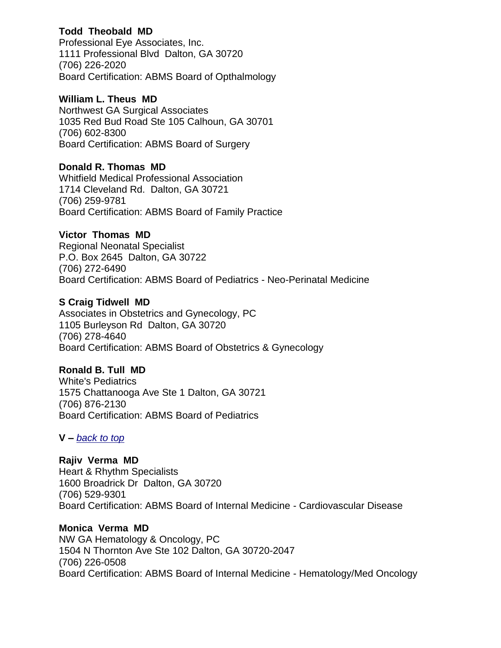## **Todd Theobald MD**

Professional Eye Associates, Inc. 1111 Professional Blvd Dalton, GA 30720 (706) 226-2020 Board Certification: ABMS Board of Opthalmology

## **William L. Theus MD**

Northwest GA Surgical Associates 1035 Red Bud Road Ste 105 Calhoun, GA 30701 (706) 602-8300 Board Certification: ABMS Board of Surgery

## **Donald R. Thomas MD**

Whitfield Medical Professional Association 1714 Cleveland Rd. Dalton, GA 30721 (706) 259-9781 Board Certification: ABMS Board of Family Practice

## **Victor Thomas MD**

Regional Neonatal Specialist P.O. Box 2645 Dalton, GA 30722 (706) 272-6490 Board Certification: ABMS Board of Pediatrics - Neo-Perinatal Medicine

## **S Craig Tidwell MD**

Associates in Obstetrics and Gynecology, PC 1105 Burleyson Rd Dalton, GA 30720 (706) 278-4640 Board Certification: ABMS Board of Obstetrics & Gynecology

## **Ronald B. Tull MD**

White's Pediatrics 1575 Chattanooga Ave Ste 1 Dalton, GA 30721 (706) 876-2130 Board Certification: ABMS Board of Pediatrics

## <span id="page-17-0"></span>**V –** *[back to top](#page-0-1)*

**Rajiv Verma MD** Heart & Rhythm Specialists 1600 Broadrick Dr Dalton, GA 30720 (706) 529-9301 Board Certification: ABMS Board of Internal Medicine - Cardiovascular Disease

**Monica Verma MD** NW GA Hematology & Oncology, PC 1504 N Thornton Ave Ste 102 Dalton, GA 30720-2047 (706) 226-0508 Board Certification: ABMS Board of Internal Medicine - Hematology/Med Oncology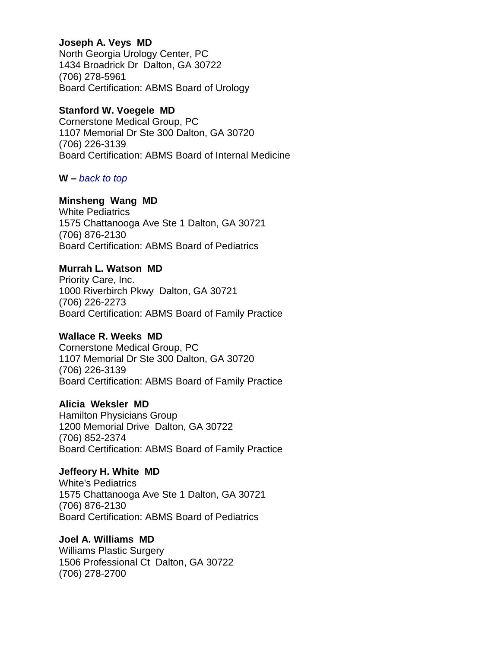## **Joseph A. Veys MD**

North Georgia Urology Center, PC 1434 Broadrick Dr Dalton, GA 30722 (706) 278-5961 Board Certification: ABMS Board of Urology

## **Stanford W. Voegele MD**

Cornerstone Medical Group, PC 1107 Memorial Dr Ste 300 Dalton, GA 30720 (706) 226-3139 Board Certification: ABMS Board of Internal Medicine

## <span id="page-18-0"></span>**W –** *[back to top](#page-0-1)*

## **Minsheng Wang MD**

White Pediatrics 1575 Chattanooga Ave Ste 1 Dalton, GA 30721 (706) 876-2130 Board Certification: ABMS Board of Pediatrics

## **Murrah L. Watson MD**

Priority Care, Inc. 1000 Riverbirch Pkwy Dalton, GA 30721 (706) 226-2273 Board Certification: ABMS Board of Family Practice

## **Wallace R. Weeks MD**

Cornerstone Medical Group, PC 1107 Memorial Dr Ste 300 Dalton, GA 30720 (706) 226-3139 Board Certification: ABMS Board of Family Practice

## **Alicia Weksler MD**

Hamilton Physicians Group 1200 Memorial Drive Dalton, GA 30722 (706) 852-2374 Board Certification: ABMS Board of Family Practice

**Jeffeory H. White MD** White's Pediatrics 1575 Chattanooga Ave Ste 1 Dalton, GA 30721 (706) 876-2130 Board Certification: ABMS Board of Pediatrics

**Joel A. Williams MD** Williams Plastic Surgery 1506 Professional Ct Dalton, GA 30722 (706) 278-2700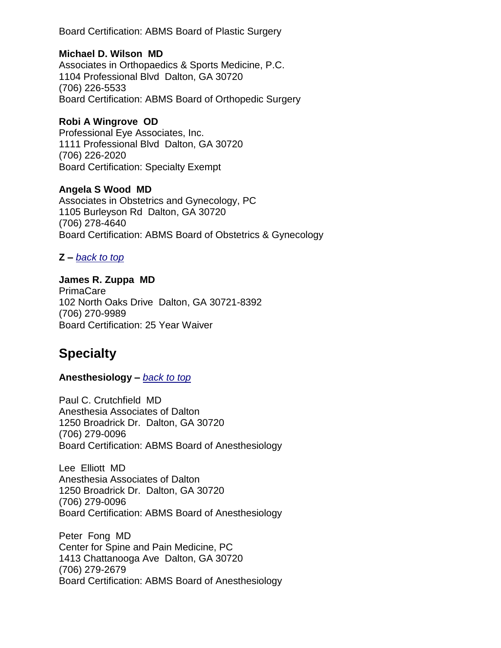Board Certification: ABMS Board of Plastic Surgery

## **Michael D. Wilson MD**

Associates in Orthopaedics & Sports Medicine, P.C. 1104 Professional Blvd Dalton, GA 30720 (706) 226-5533 Board Certification: ABMS Board of Orthopedic Surgery

## **Robi A Wingrove OD**

Professional Eye Associates, Inc. 1111 Professional Blvd Dalton, GA 30720 (706) 226-2020 Board Certification: Specialty Exempt

## **Angela S Wood MD**

Associates in Obstetrics and Gynecology, PC 1105 Burleyson Rd Dalton, GA 30720 (706) 278-4640 Board Certification: ABMS Board of Obstetrics & Gynecology

## <span id="page-19-0"></span>**Z –** *[back to top](#page-0-1)*

**James R. Zuppa MD** PrimaCare 102 North Oaks Drive Dalton, GA 30721-8392 (706) 270-9989 Board Certification: 25 Year Waiver

## **Specialty**

## <span id="page-19-1"></span>**Anesthesiology –** *[back to top](#page-0-1)*

Paul C. Crutchfield MD Anesthesia Associates of Dalton 1250 Broadrick Dr. Dalton, GA 30720 (706) 279-0096 Board Certification: ABMS Board of Anesthesiology

Lee Elliott MD Anesthesia Associates of Dalton 1250 Broadrick Dr. Dalton, GA 30720 (706) 279-0096 Board Certification: ABMS Board of Anesthesiology

Peter Fong MD Center for Spine and Pain Medicine, PC 1413 Chattanooga Ave Dalton, GA 30720 (706) 279-2679 Board Certification: ABMS Board of Anesthesiology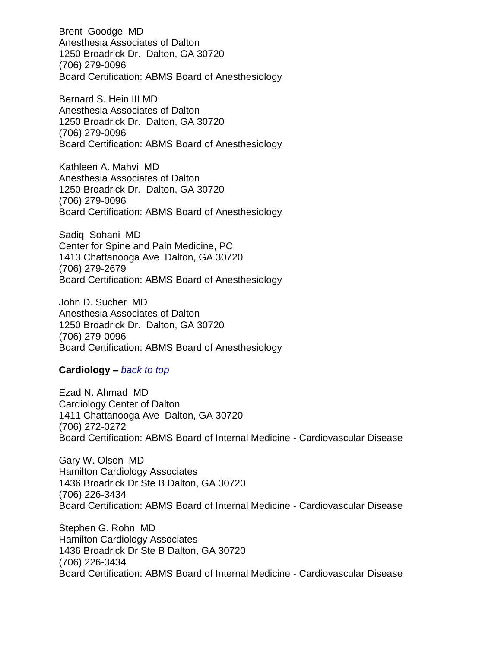Brent Goodge MD Anesthesia Associates of Dalton 1250 Broadrick Dr. Dalton, GA 30720 (706) 279-0096 Board Certification: ABMS Board of Anesthesiology

Bernard S. Hein III MD Anesthesia Associates of Dalton 1250 Broadrick Dr. Dalton, GA 30720 (706) 279-0096 Board Certification: ABMS Board of Anesthesiology

Kathleen A. Mahvi MD Anesthesia Associates of Dalton 1250 Broadrick Dr. Dalton, GA 30720 (706) 279-0096 Board Certification: ABMS Board of Anesthesiology

Sadiq Sohani MD Center for Spine and Pain Medicine, PC 1413 Chattanooga Ave Dalton, GA 30720 (706) 279-2679 Board Certification: ABMS Board of Anesthesiology

John D. Sucher MD Anesthesia Associates of Dalton 1250 Broadrick Dr. Dalton, GA 30720 (706) 279-0096 Board Certification: ABMS Board of Anesthesiology

### <span id="page-20-0"></span>**Cardiology –** *[back to top](#page-0-1)*

Ezad N. Ahmad MD Cardiology Center of Dalton 1411 Chattanooga Ave Dalton, GA 30720 (706) 272-0272 Board Certification: ABMS Board of Internal Medicine - Cardiovascular Disease

Gary W. Olson MD Hamilton Cardiology Associates 1436 Broadrick Dr Ste B Dalton, GA 30720 (706) 226-3434 Board Certification: ABMS Board of Internal Medicine - Cardiovascular Disease

Stephen G. Rohn MD Hamilton Cardiology Associates 1436 Broadrick Dr Ste B Dalton, GA 30720 (706) 226-3434 Board Certification: ABMS Board of Internal Medicine - Cardiovascular Disease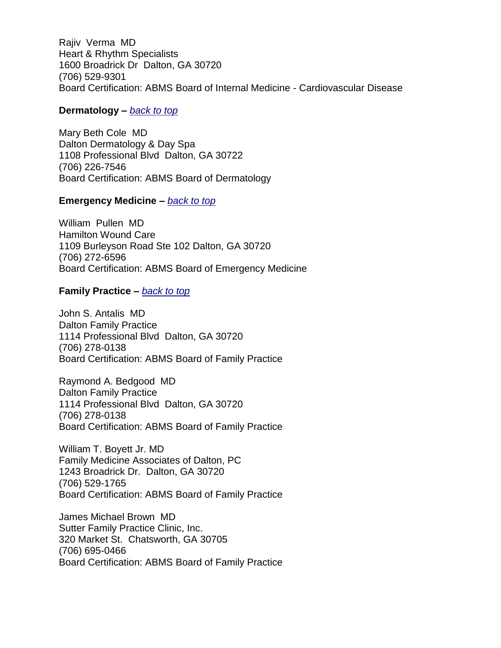Rajiv Verma MD Heart & Rhythm Specialists 1600 Broadrick Dr Dalton, GA 30720 (706) 529-9301 Board Certification: ABMS Board of Internal Medicine - Cardiovascular Disease

### <span id="page-21-0"></span>**Dermatology –** *[back to top](#page-0-1)*

Mary Beth Cole MD Dalton Dermatology & Day Spa 1108 Professional Blvd Dalton, GA 30722 (706) 226-7546 Board Certification: ABMS Board of Dermatology

### <span id="page-21-1"></span>**Emergency Medicine –** *[back to top](#page-0-1)*

William Pullen MD Hamilton Wound Care 1109 Burleyson Road Ste 102 Dalton, GA 30720 (706) 272-6596 Board Certification: ABMS Board of Emergency Medicine

### <span id="page-21-2"></span>**Family Practice –** *[back to top](#page-0-1)*

John S. Antalis MD Dalton Family Practice 1114 Professional Blvd Dalton, GA 30720 (706) 278-0138 Board Certification: ABMS Board of Family Practice

Raymond A. Bedgood MD Dalton Family Practice 1114 Professional Blvd Dalton, GA 30720 (706) 278-0138 Board Certification: ABMS Board of Family Practice

William T. Boyett Jr. MD Family Medicine Associates of Dalton, PC 1243 Broadrick Dr. Dalton, GA 30720 (706) 529-1765 Board Certification: ABMS Board of Family Practice

James Michael Brown MD Sutter Family Practice Clinic, Inc. 320 Market St. Chatsworth, GA 30705 (706) 695-0466 Board Certification: ABMS Board of Family Practice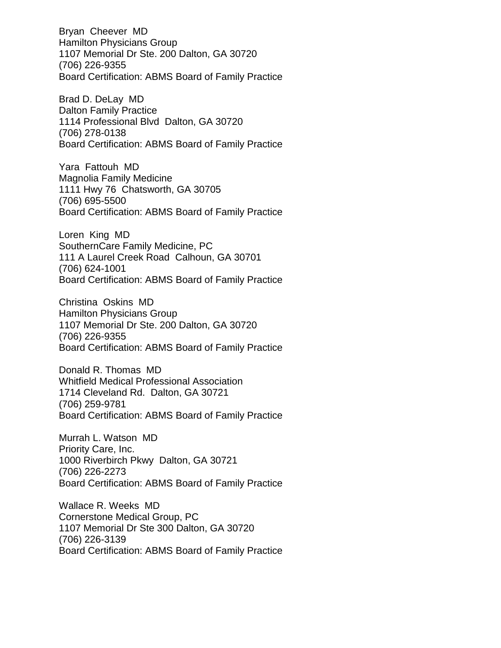Bryan Cheever MD Hamilton Physicians Group 1107 Memorial Dr Ste. 200 Dalton, GA 30720 (706) 226-9355 Board Certification: ABMS Board of Family Practice

Brad D. DeLay MD Dalton Family Practice 1114 Professional Blvd Dalton, GA 30720 (706) 278-0138 Board Certification: ABMS Board of Family Practice

Yara Fattouh MD Magnolia Family Medicine 1111 Hwy 76 Chatsworth, GA 30705 (706) 695-5500 Board Certification: ABMS Board of Family Practice

Loren King MD SouthernCare Family Medicine, PC 111 A Laurel Creek Road Calhoun, GA 30701 (706) 624-1001 Board Certification: ABMS Board of Family Practice

Christina Oskins MD Hamilton Physicians Group 1107 Memorial Dr Ste. 200 Dalton, GA 30720 (706) 226-9355 Board Certification: ABMS Board of Family Practice

Donald R. Thomas MD Whitfield Medical Professional Association 1714 Cleveland Rd. Dalton, GA 30721 (706) 259-9781 Board Certification: ABMS Board of Family Practice

Murrah L. Watson MD Priority Care, Inc. 1000 Riverbirch Pkwy Dalton, GA 30721 (706) 226-2273 Board Certification: ABMS Board of Family Practice

Wallace R. Weeks MD Cornerstone Medical Group, PC 1107 Memorial Dr Ste 300 Dalton, GA 30720 (706) 226-3139 Board Certification: ABMS Board of Family Practice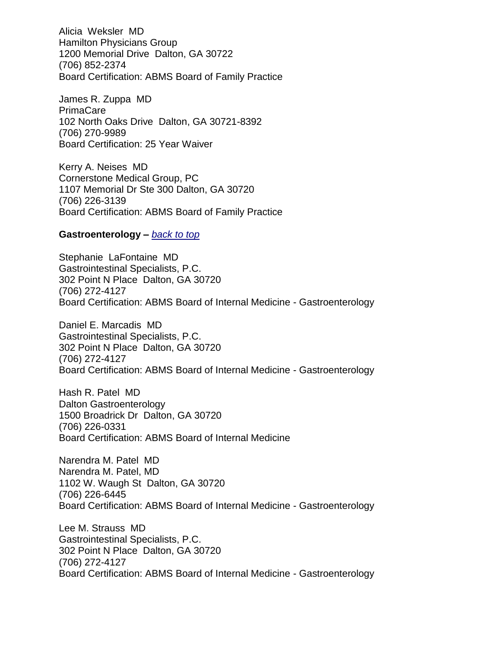Alicia Weksler MD Hamilton Physicians Group 1200 Memorial Drive Dalton, GA 30722 (706) 852-2374 Board Certification: ABMS Board of Family Practice

James R. Zuppa MD PrimaCare 102 North Oaks Drive Dalton, GA 30721-8392 (706) 270-9989 Board Certification: 25 Year Waiver

Kerry A. Neises MD Cornerstone Medical Group, PC 1107 Memorial Dr Ste 300 Dalton, GA 30720 (706) 226-3139 Board Certification: ABMS Board of Family Practice

### <span id="page-23-0"></span>**Gastroenterology –** *[back to top](#page-0-1)*

Stephanie LaFontaine MD Gastrointestinal Specialists, P.C. 302 Point N Place Dalton, GA 30720 (706) 272-4127 Board Certification: ABMS Board of Internal Medicine - Gastroenterology

Daniel E. Marcadis MD Gastrointestinal Specialists, P.C. 302 Point N Place Dalton, GA 30720 (706) 272-4127 Board Certification: ABMS Board of Internal Medicine - Gastroenterology

Hash R. Patel MD Dalton Gastroenterology 1500 Broadrick Dr Dalton, GA 30720 (706) 226-0331 Board Certification: ABMS Board of Internal Medicine

Narendra M. Patel MD Narendra M. Patel, MD 1102 W. Waugh St Dalton, GA 30720 (706) 226-6445 Board Certification: ABMS Board of Internal Medicine - Gastroenterology

Lee M. Strauss MD Gastrointestinal Specialists, P.C. 302 Point N Place Dalton, GA 30720 (706) 272-4127 Board Certification: ABMS Board of Internal Medicine - Gastroenterology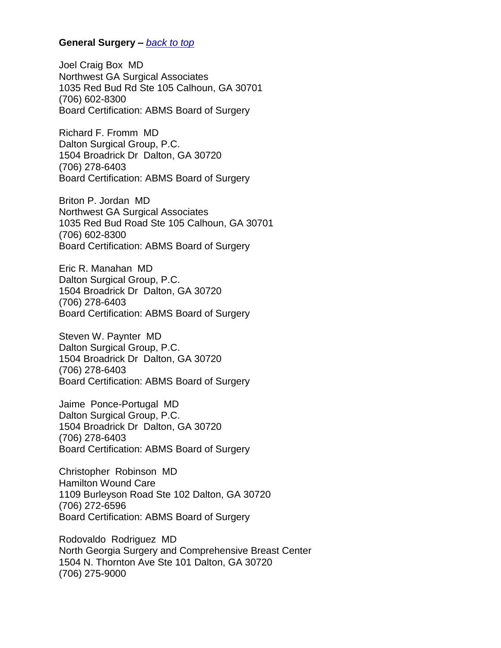### **General Surgery –** *[back to top](#page-0-1)*

Joel Craig Box MD Northwest GA Surgical Associates 1035 Red Bud Rd Ste 105 Calhoun, GA 30701 (706) 602-8300 Board Certification: ABMS Board of Surgery

Richard F. Fromm MD Dalton Surgical Group, P.C. 1504 Broadrick Dr Dalton, GA 30720 (706) 278-6403 Board Certification: ABMS Board of Surgery

Briton P. Jordan MD Northwest GA Surgical Associates 1035 Red Bud Road Ste 105 Calhoun, GA 30701 (706) 602-8300 Board Certification: ABMS Board of Surgery

Eric R. Manahan MD Dalton Surgical Group, P.C. 1504 Broadrick Dr Dalton, GA 30720 (706) 278-6403 Board Certification: ABMS Board of Surgery

Steven W. Paynter MD Dalton Surgical Group, P.C. 1504 Broadrick Dr Dalton, GA 30720 (706) 278-6403 Board Certification: ABMS Board of Surgery

Jaime Ponce-Portugal MD Dalton Surgical Group, P.C. 1504 Broadrick Dr Dalton, GA 30720 (706) 278-6403 Board Certification: ABMS Board of Surgery

Christopher Robinson MD Hamilton Wound Care 1109 Burleyson Road Ste 102 Dalton, GA 30720 (706) 272-6596 Board Certification: ABMS Board of Surgery

Rodovaldo Rodriguez MD North Georgia Surgery and Comprehensive Breast Center 1504 N. Thornton Ave Ste 101 Dalton, GA 30720 (706) 275-9000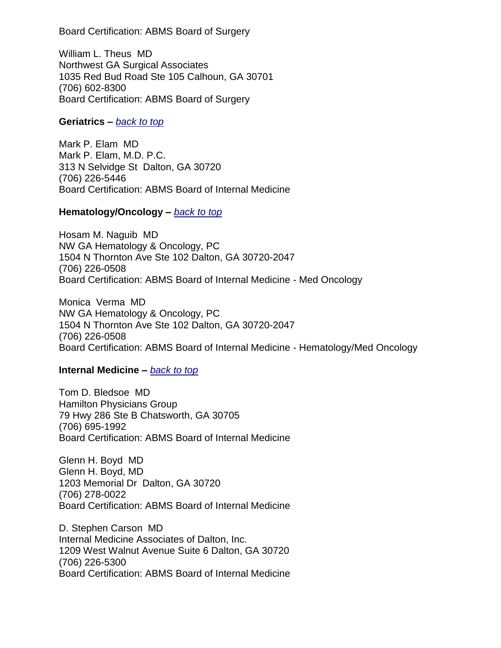Board Certification: ABMS Board of Surgery

William L. Theus MD Northwest GA Surgical Associates 1035 Red Bud Road Ste 105 Calhoun, GA 30701 (706) 602-8300 Board Certification: ABMS Board of Surgery

### **Geriatrics –** *[back to top](#page-0-1)*

Mark P. Elam MD Mark P. Elam, M.D. P.C. 313 N Selvidge St Dalton, GA 30720 (706) 226-5446 Board Certification: ABMS Board of Internal Medicine

### <span id="page-25-0"></span>**Hematology/Oncology –** *[back to top](#page-0-1)*

Hosam M. Naguib MD NW GA Hematology & Oncology, PC 1504 N Thornton Ave Ste 102 Dalton, GA 30720-2047 (706) 226-0508 Board Certification: ABMS Board of Internal Medicine - Med Oncology

Monica Verma MD NW GA Hematology & Oncology, PC 1504 N Thornton Ave Ste 102 Dalton, GA 30720-2047 (706) 226-0508 Board Certification: ABMS Board of Internal Medicine - Hematology/Med Oncology

## <span id="page-25-1"></span>**Internal Medicine –** *[back to top](#page-0-1)*

Tom D. Bledsoe MD Hamilton Physicians Group 79 Hwy 286 Ste B Chatsworth, GA 30705 (706) 695-1992 Board Certification: ABMS Board of Internal Medicine

Glenn H. Boyd MD Glenn H. Boyd, MD 1203 Memorial Dr Dalton, GA 30720 (706) 278-0022 Board Certification: ABMS Board of Internal Medicine

D. Stephen Carson MD Internal Medicine Associates of Dalton, Inc. 1209 West Walnut Avenue Suite 6 Dalton, GA 30720 (706) 226-5300 Board Certification: ABMS Board of Internal Medicine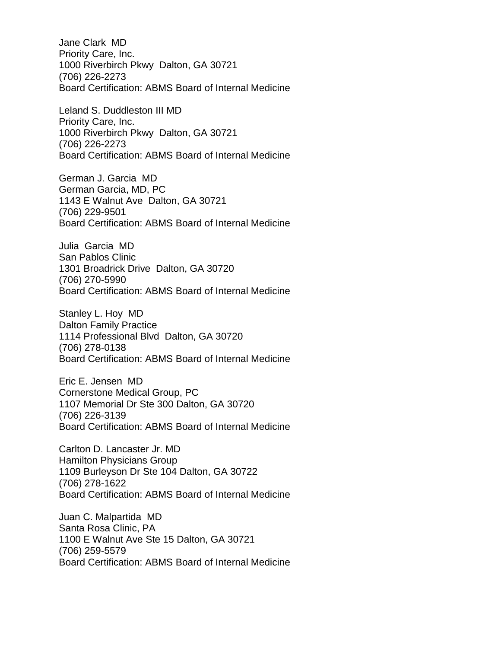Jane Clark MD Priority Care, Inc. 1000 Riverbirch Pkwy Dalton, GA 30721 (706) 226-2273 Board Certification: ABMS Board of Internal Medicine

Leland S. Duddleston III MD Priority Care, Inc. 1000 Riverbirch Pkwy Dalton, GA 30721 (706) 226-2273 Board Certification: ABMS Board of Internal Medicine

German J. Garcia MD German Garcia, MD, PC 1143 E Walnut Ave Dalton, GA 30721 (706) 229-9501 Board Certification: ABMS Board of Internal Medicine

Julia Garcia MD San Pablos Clinic 1301 Broadrick Drive Dalton, GA 30720 (706) 270-5990 Board Certification: ABMS Board of Internal Medicine

Stanley L. Hoy MD Dalton Family Practice 1114 Professional Blvd Dalton, GA 30720 (706) 278-0138 Board Certification: ABMS Board of Internal Medicine

Eric E. Jensen MD Cornerstone Medical Group, PC 1107 Memorial Dr Ste 300 Dalton, GA 30720 (706) 226-3139 Board Certification: ABMS Board of Internal Medicine

Carlton D. Lancaster Jr. MD Hamilton Physicians Group 1109 Burleyson Dr Ste 104 Dalton, GA 30722 (706) 278-1622 Board Certification: ABMS Board of Internal Medicine

Juan C. Malpartida MD Santa Rosa Clinic, PA 1100 E Walnut Ave Ste 15 Dalton, GA 30721 (706) 259-5579 Board Certification: ABMS Board of Internal Medicine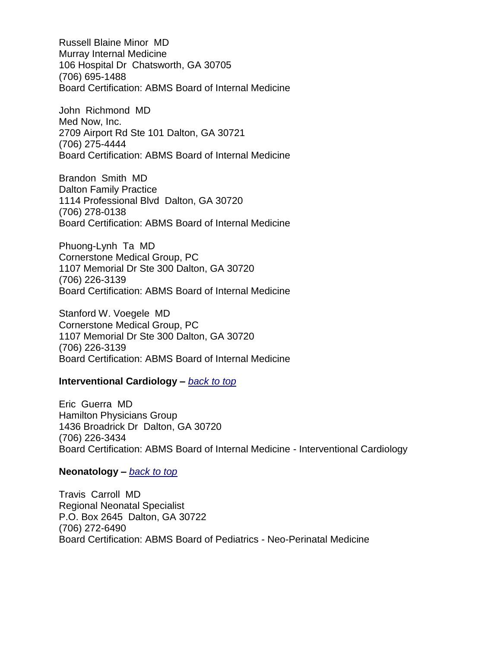Russell Blaine Minor MD Murray Internal Medicine 106 Hospital Dr Chatsworth, GA 30705 (706) 695-1488 Board Certification: ABMS Board of Internal Medicine

John Richmond MD Med Now, Inc. 2709 Airport Rd Ste 101 Dalton, GA 30721 (706) 275-4444 Board Certification: ABMS Board of Internal Medicine

Brandon Smith MD Dalton Family Practice 1114 Professional Blvd Dalton, GA 30720 (706) 278-0138 Board Certification: ABMS Board of Internal Medicine

Phuong-Lynh Ta MD Cornerstone Medical Group, PC 1107 Memorial Dr Ste 300 Dalton, GA 30720 (706) 226-3139 Board Certification: ABMS Board of Internal Medicine

Stanford W. Voegele MD Cornerstone Medical Group, PC 1107 Memorial Dr Ste 300 Dalton, GA 30720 (706) 226-3139 Board Certification: ABMS Board of Internal Medicine

### **Interventional Cardiology –** *[back to top](#page-0-1)*

Eric Guerra MD Hamilton Physicians Group 1436 Broadrick Dr Dalton, GA 30720 (706) 226-3434 Board Certification: ABMS Board of Internal Medicine - Interventional Cardiology

### <span id="page-27-0"></span>**Neonatology –** *[back to top](#page-0-1)*

Travis Carroll MD Regional Neonatal Specialist P.O. Box 2645 Dalton, GA 30722 (706) 272-6490 Board Certification: ABMS Board of Pediatrics - Neo-Perinatal Medicine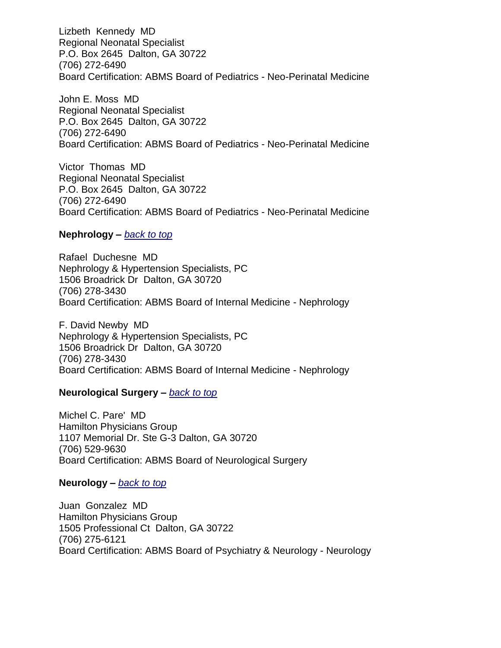Lizbeth Kennedy MD Regional Neonatal Specialist P.O. Box 2645 Dalton, GA 30722 (706) 272-6490 Board Certification: ABMS Board of Pediatrics - Neo-Perinatal Medicine

John E. Moss MD Regional Neonatal Specialist P.O. Box 2645 Dalton, GA 30722 (706) 272-6490 Board Certification: ABMS Board of Pediatrics - Neo-Perinatal Medicine

Victor Thomas MD Regional Neonatal Specialist P.O. Box 2645 Dalton, GA 30722 (706) 272-6490 Board Certification: ABMS Board of Pediatrics - Neo-Perinatal Medicine

### **Nephrology –** *[back to top](#page-0-1)*

Rafael Duchesne MD Nephrology & Hypertension Specialists, PC 1506 Broadrick Dr Dalton, GA 30720 (706) 278-3430 Board Certification: ABMS Board of Internal Medicine - Nephrology

F. David Newby MD Nephrology & Hypertension Specialists, PC 1506 Broadrick Dr Dalton, GA 30720 (706) 278-3430 Board Certification: ABMS Board of Internal Medicine - Nephrology

### **Neurological Surgery –** *[back to top](#page-0-1)*

Michel C. Pare' MD Hamilton Physicians Group 1107 Memorial Dr. Ste G-3 Dalton, GA 30720 (706) 529-9630 Board Certification: ABMS Board of Neurological Surgery

## **Neurology –** *[back to top](#page-0-1)*

Juan Gonzalez MD Hamilton Physicians Group 1505 Professional Ct Dalton, GA 30722 (706) 275-6121 Board Certification: ABMS Board of Psychiatry & Neurology - Neurology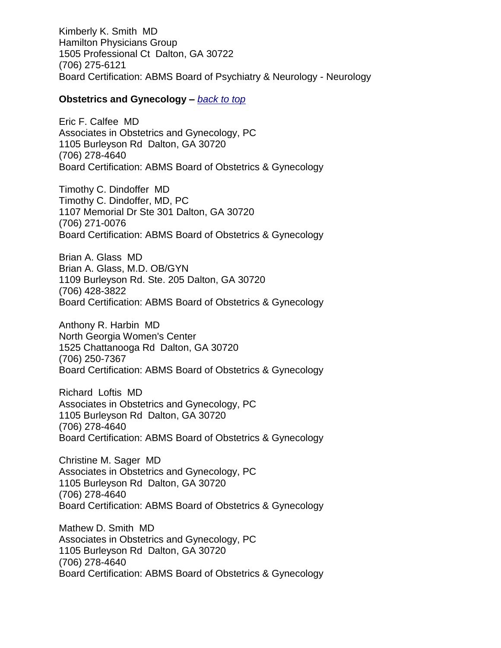Kimberly K. Smith MD Hamilton Physicians Group 1505 Professional Ct Dalton, GA 30722 (706) 275-6121 Board Certification: ABMS Board of Psychiatry & Neurology - Neurology

### <span id="page-29-0"></span>**Obstetrics and Gynecology –** *[back to top](#page-0-1)*

Eric F. Calfee MD Associates in Obstetrics and Gynecology, PC 1105 Burleyson Rd Dalton, GA 30720 (706) 278-4640 Board Certification: ABMS Board of Obstetrics & Gynecology

Timothy C. Dindoffer MD Timothy C. Dindoffer, MD, PC 1107 Memorial Dr Ste 301 Dalton, GA 30720 (706) 271-0076 Board Certification: ABMS Board of Obstetrics & Gynecology

Brian A. Glass MD Brian A. Glass, M.D. OB/GYN 1109 Burleyson Rd. Ste. 205 Dalton, GA 30720 (706) 428-3822 Board Certification: ABMS Board of Obstetrics & Gynecology

Anthony R. Harbin MD North Georgia Women's Center 1525 Chattanooga Rd Dalton, GA 30720 (706) 250-7367 Board Certification: ABMS Board of Obstetrics & Gynecology

Richard Loftis MD Associates in Obstetrics and Gynecology, PC 1105 Burleyson Rd Dalton, GA 30720 (706) 278-4640 Board Certification: ABMS Board of Obstetrics & Gynecology

Christine M. Sager MD Associates in Obstetrics and Gynecology, PC 1105 Burleyson Rd Dalton, GA 30720 (706) 278-4640 Board Certification: ABMS Board of Obstetrics & Gynecology

Mathew D. Smith MD Associates in Obstetrics and Gynecology, PC 1105 Burleyson Rd Dalton, GA 30720 (706) 278-4640 Board Certification: ABMS Board of Obstetrics & Gynecology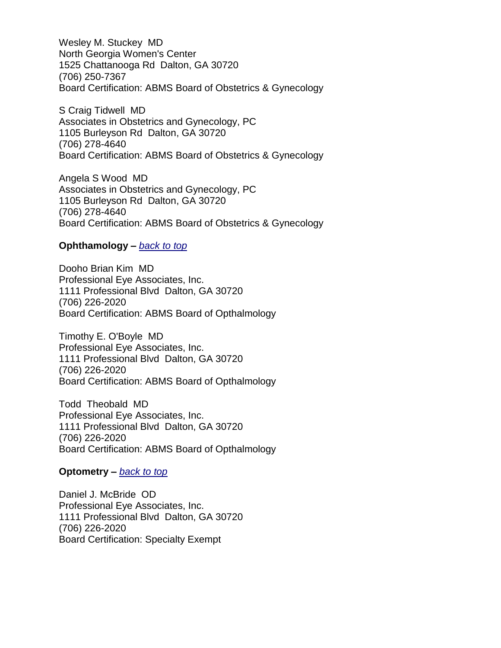Wesley M. Stuckey MD North Georgia Women's Center 1525 Chattanooga Rd Dalton, GA 30720 (706) 250-7367 Board Certification: ABMS Board of Obstetrics & Gynecology

S Craig Tidwell MD Associates in Obstetrics and Gynecology, PC 1105 Burleyson Rd Dalton, GA 30720 (706) 278-4640 Board Certification: ABMS Board of Obstetrics & Gynecology

Angela S Wood MD Associates in Obstetrics and Gynecology, PC 1105 Burleyson Rd Dalton, GA 30720 (706) 278-4640 Board Certification: ABMS Board of Obstetrics & Gynecology

### **Ophthamology –** *[back to top](#page-0-1)*

Dooho Brian Kim MD Professional Eye Associates, Inc. 1111 Professional Blvd Dalton, GA 30720 (706) 226-2020 Board Certification: ABMS Board of Opthalmology

Timothy E. O'Boyle MD Professional Eye Associates, Inc. 1111 Professional Blvd Dalton, GA 30720 (706) 226-2020 Board Certification: ABMS Board of Opthalmology

Todd Theobald MD Professional Eye Associates, Inc. 1111 Professional Blvd Dalton, GA 30720 (706) 226-2020 Board Certification: ABMS Board of Opthalmology

### **Optometry –** *[back to top](#page-0-1)*

Daniel J. McBride OD Professional Eye Associates, Inc. 1111 Professional Blvd Dalton, GA 30720 (706) 226-2020 Board Certification: Specialty Exempt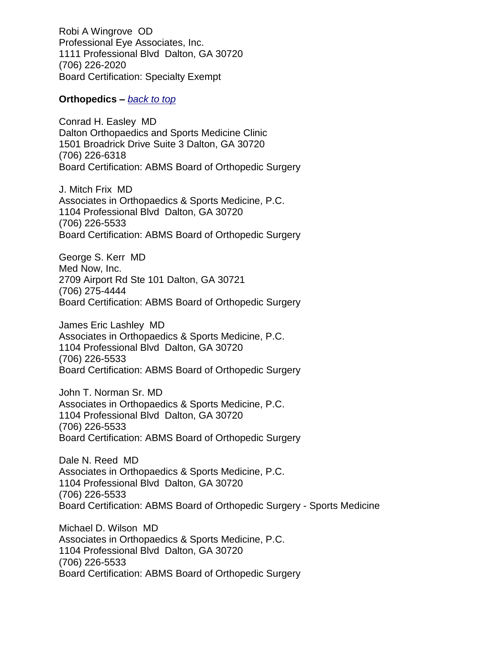Robi A Wingrove OD Professional Eye Associates, Inc. 1111 Professional Blvd Dalton, GA 30720 (706) 226-2020 Board Certification: Specialty Exempt

### **Orthopedics –** *[back to top](#page-0-1)*

Conrad H. Easley MD Dalton Orthopaedics and Sports Medicine Clinic 1501 Broadrick Drive Suite 3 Dalton, GA 30720 (706) 226-6318 Board Certification: ABMS Board of Orthopedic Surgery

J. Mitch Frix MD Associates in Orthopaedics & Sports Medicine, P.C. 1104 Professional Blvd Dalton, GA 30720 (706) 226-5533 Board Certification: ABMS Board of Orthopedic Surgery

George S. Kerr MD Med Now, Inc. 2709 Airport Rd Ste 101 Dalton, GA 30721 (706) 275-4444 Board Certification: ABMS Board of Orthopedic Surgery

James Eric Lashley MD Associates in Orthopaedics & Sports Medicine, P.C. 1104 Professional Blvd Dalton, GA 30720 (706) 226-5533 Board Certification: ABMS Board of Orthopedic Surgery

John T. Norman Sr. MD Associates in Orthopaedics & Sports Medicine, P.C. 1104 Professional Blvd Dalton, GA 30720 (706) 226-5533 Board Certification: ABMS Board of Orthopedic Surgery

Dale N. Reed MD Associates in Orthopaedics & Sports Medicine, P.C. 1104 Professional Blvd Dalton, GA 30720 (706) 226-5533 Board Certification: ABMS Board of Orthopedic Surgery - Sports Medicine

Michael D. Wilson MD Associates in Orthopaedics & Sports Medicine, P.C. 1104 Professional Blvd Dalton, GA 30720 (706) 226-5533 Board Certification: ABMS Board of Orthopedic Surgery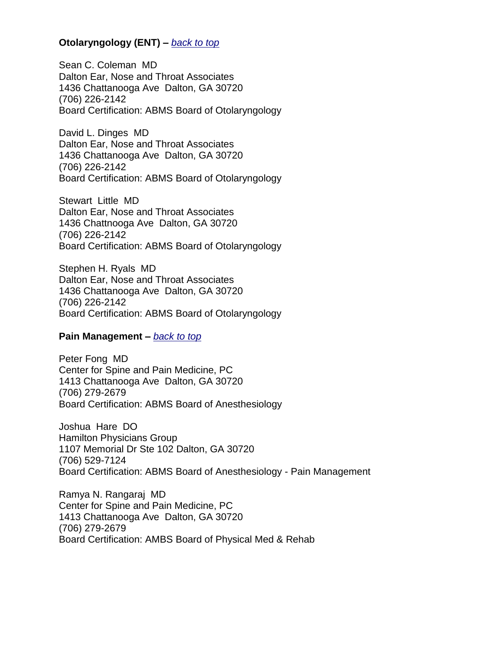## **Otolaryngology (ENT) –** *[back to top](#page-0-1)*

Sean C. Coleman MD Dalton Ear, Nose and Throat Associates 1436 Chattanooga Ave Dalton, GA 30720 (706) 226-2142 Board Certification: ABMS Board of Otolaryngology

David L. Dinges MD Dalton Ear, Nose and Throat Associates 1436 Chattanooga Ave Dalton, GA 30720 (706) 226-2142 Board Certification: ABMS Board of Otolaryngology

Stewart Little MD Dalton Ear, Nose and Throat Associates 1436 Chattnooga Ave Dalton, GA 30720 (706) 226-2142 Board Certification: ABMS Board of Otolaryngology

Stephen H. Ryals MD Dalton Ear, Nose and Throat Associates 1436 Chattanooga Ave Dalton, GA 30720 (706) 226-2142 Board Certification: ABMS Board of Otolaryngology

### <span id="page-32-0"></span>**Pain Management –** *[back to top](#page-0-1)*

Peter Fong MD Center for Spine and Pain Medicine, PC 1413 Chattanooga Ave Dalton, GA 30720 (706) 279-2679 Board Certification: ABMS Board of Anesthesiology

Joshua Hare DO Hamilton Physicians Group 1107 Memorial Dr Ste 102 Dalton, GA 30720 (706) 529-7124 Board Certification: ABMS Board of Anesthesiology - Pain Management

Ramya N. Rangaraj MD Center for Spine and Pain Medicine, PC 1413 Chattanooga Ave Dalton, GA 30720 (706) 279-2679 Board Certification: AMBS Board of Physical Med & Rehab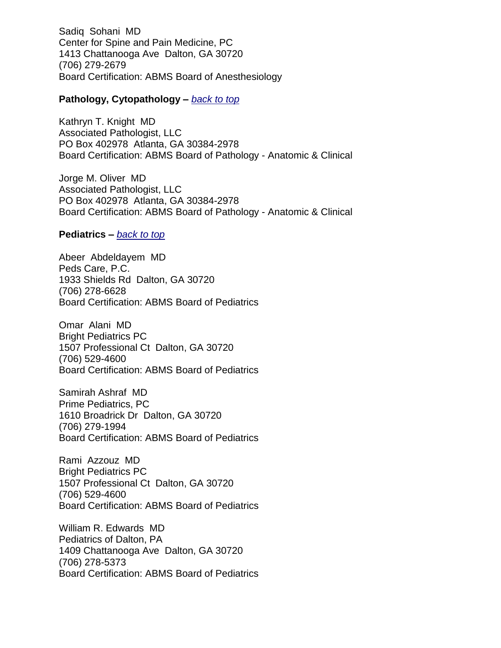Sadiq Sohani MD Center for Spine and Pain Medicine, PC 1413 Chattanooga Ave Dalton, GA 30720 (706) 279-2679 Board Certification: ABMS Board of Anesthesiology

### **Pathology, Cytopathology –** *[back to top](#page-0-1)*

Kathryn T. Knight MD Associated Pathologist, LLC PO Box 402978 Atlanta, GA 30384-2978 Board Certification: ABMS Board of Pathology - Anatomic & Clinical

Jorge M. Oliver MD Associated Pathologist, LLC PO Box 402978 Atlanta, GA 30384-2978 Board Certification: ABMS Board of Pathology - Anatomic & Clinical

### **Pediatrics –** *[back to top](#page-0-1)*

Abeer Abdeldayem MD Peds Care, P.C. 1933 Shields Rd Dalton, GA 30720 (706) 278-6628 Board Certification: ABMS Board of Pediatrics

Omar Alani MD Bright Pediatrics PC 1507 Professional Ct Dalton, GA 30720 (706) 529-4600 Board Certification: ABMS Board of Pediatrics

Samirah Ashraf MD Prime Pediatrics, PC 1610 Broadrick Dr Dalton, GA 30720 (706) 279-1994 Board Certification: ABMS Board of Pediatrics

Rami Azzouz MD Bright Pediatrics PC 1507 Professional Ct Dalton, GA 30720 (706) 529-4600 Board Certification: ABMS Board of Pediatrics

William R. Edwards MD Pediatrics of Dalton, PA 1409 Chattanooga Ave Dalton, GA 30720 (706) 278-5373 Board Certification: ABMS Board of Pediatrics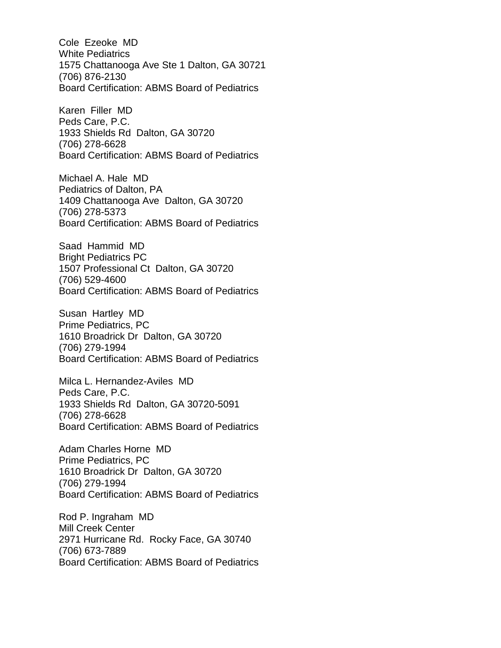Cole Ezeoke MD White Pediatrics 1575 Chattanooga Ave Ste 1 Dalton, GA 30721 (706) 876-2130 Board Certification: ABMS Board of Pediatrics

Karen Filler MD Peds Care, P.C. 1933 Shields Rd Dalton, GA 30720 (706) 278-6628 Board Certification: ABMS Board of Pediatrics

Michael A. Hale MD Pediatrics of Dalton, PA 1409 Chattanooga Ave Dalton, GA 30720 (706) 278-5373 Board Certification: ABMS Board of Pediatrics

Saad Hammid MD Bright Pediatrics PC 1507 Professional Ct Dalton, GA 30720 (706) 529-4600 Board Certification: ABMS Board of Pediatrics

Susan Hartley MD Prime Pediatrics, PC 1610 Broadrick Dr Dalton, GA 30720 (706) 279-1994 Board Certification: ABMS Board of Pediatrics

Milca L. Hernandez-Aviles MD Peds Care, P.C. 1933 Shields Rd Dalton, GA 30720-5091 (706) 278-6628 Board Certification: ABMS Board of Pediatrics

Adam Charles Horne MD Prime Pediatrics, PC 1610 Broadrick Dr Dalton, GA 30720 (706) 279-1994 Board Certification: ABMS Board of Pediatrics

Rod P. Ingraham MD Mill Creek Center 2971 Hurricane Rd. Rocky Face, GA 30740 (706) 673-7889 Board Certification: ABMS Board of Pediatrics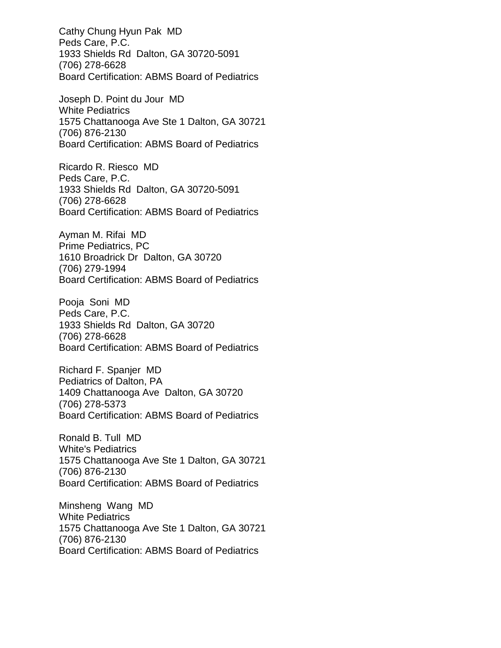Cathy Chung Hyun Pak MD Peds Care, P.C. 1933 Shields Rd Dalton, GA 30720-5091 (706) 278-6628 Board Certification: ABMS Board of Pediatrics

Joseph D. Point du Jour MD White Pediatrics 1575 Chattanooga Ave Ste 1 Dalton, GA 30721 (706) 876-2130 Board Certification: ABMS Board of Pediatrics

Ricardo R. Riesco MD Peds Care, P.C. 1933 Shields Rd Dalton, GA 30720-5091 (706) 278-6628 Board Certification: ABMS Board of Pediatrics

Ayman M. Rifai MD Prime Pediatrics, PC 1610 Broadrick Dr Dalton, GA 30720 (706) 279-1994 Board Certification: ABMS Board of Pediatrics

Pooja Soni MD Peds Care, P.C. 1933 Shields Rd Dalton, GA 30720 (706) 278-6628 Board Certification: ABMS Board of Pediatrics

Richard F. Spanjer MD Pediatrics of Dalton, PA 1409 Chattanooga Ave Dalton, GA 30720 (706) 278-5373 Board Certification: ABMS Board of Pediatrics

Ronald B. Tull MD White's Pediatrics 1575 Chattanooga Ave Ste 1 Dalton, GA 30721 (706) 876-2130 Board Certification: ABMS Board of Pediatrics

Minsheng Wang MD White Pediatrics 1575 Chattanooga Ave Ste 1 Dalton, GA 30721 (706) 876-2130 Board Certification: ABMS Board of Pediatrics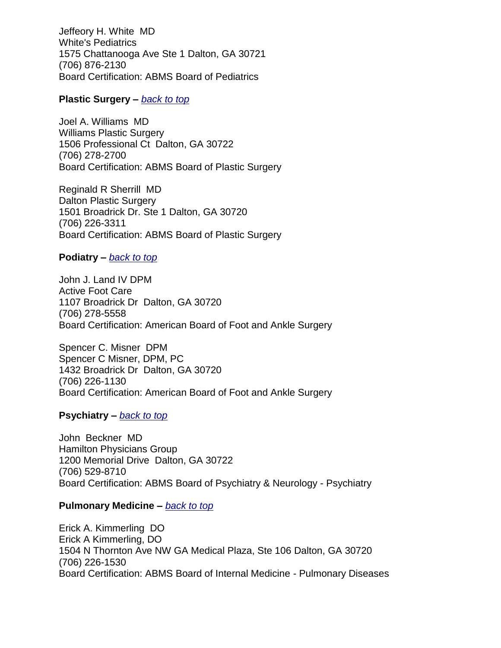Jeffeory H. White MD White's Pediatrics 1575 Chattanooga Ave Ste 1 Dalton, GA 30721 (706) 876-2130 Board Certification: ABMS Board of Pediatrics

### **Plastic Surgery –** *[back to top](#page-0-1)*

Joel A. Williams MD Williams Plastic Surgery 1506 Professional Ct Dalton, GA 30722 (706) 278-2700 Board Certification: ABMS Board of Plastic Surgery

Reginald R Sherrill MD Dalton Plastic Surgery 1501 Broadrick Dr. Ste 1 Dalton, GA 30720 (706) 226-3311 Board Certification: ABMS Board of Plastic Surgery

### **Podiatry –** *[back to top](#page-0-1)*

John J. Land IV DPM Active Foot Care 1107 Broadrick Dr Dalton, GA 30720 (706) 278-5558 Board Certification: American Board of Foot and Ankle Surgery

Spencer C. Misner DPM Spencer C Misner, DPM, PC 1432 Broadrick Dr Dalton, GA 30720 (706) 226-1130 Board Certification: American Board of Foot and Ankle Surgery

## **Psychiatry –** *[back to top](#page-0-1)*

John Beckner MD Hamilton Physicians Group 1200 Memorial Drive Dalton, GA 30722 (706) 529-8710 Board Certification: ABMS Board of Psychiatry & Neurology - Psychiatry

### **Pulmonary Medicine –** *[back to top](#page-0-1)*

Erick A. Kimmerling DO Erick A Kimmerling, DO 1504 N Thornton Ave NW GA Medical Plaza, Ste 106 Dalton, GA 30720 (706) 226-1530 Board Certification: ABMS Board of Internal Medicine - Pulmonary Diseases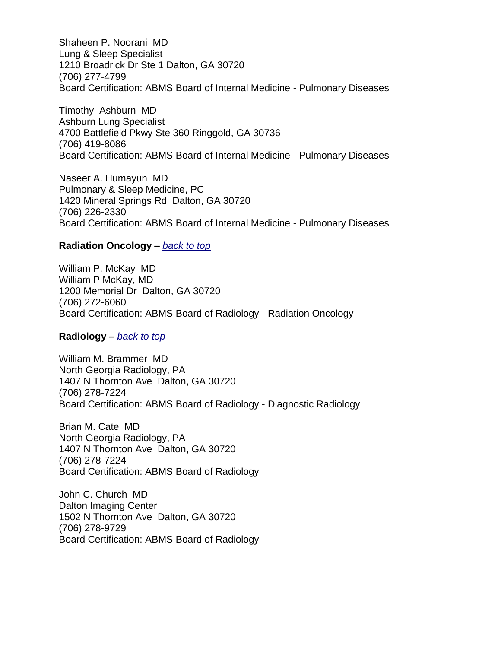Shaheen P. Noorani MD Lung & Sleep Specialist 1210 Broadrick Dr Ste 1 Dalton, GA 30720 (706) 277-4799 Board Certification: ABMS Board of Internal Medicine - Pulmonary Diseases

Timothy Ashburn MD Ashburn Lung Specialist 4700 Battlefield Pkwy Ste 360 Ringgold, GA 30736 (706) 419-8086 Board Certification: ABMS Board of Internal Medicine - Pulmonary Diseases

Naseer A. Humayun MD Pulmonary & Sleep Medicine, PC 1420 Mineral Springs Rd Dalton, GA 30720 (706) 226-2330 Board Certification: ABMS Board of Internal Medicine - Pulmonary Diseases

### <span id="page-37-0"></span>**Radiation Oncology –** *[back to top](#page-0-1)*

William P. McKay MD William P McKay, MD 1200 Memorial Dr Dalton, GA 30720 (706) 272-6060 Board Certification: ABMS Board of Radiology - Radiation Oncology

**Radiology –** *[back to top](#page-0-1)*

William M. Brammer MD North Georgia Radiology, PA 1407 N Thornton Ave Dalton, GA 30720 (706) 278-7224 Board Certification: ABMS Board of Radiology - Diagnostic Radiology

Brian M. Cate MD North Georgia Radiology, PA 1407 N Thornton Ave Dalton, GA 30720 (706) 278-7224 Board Certification: ABMS Board of Radiology

John C. Church MD Dalton Imaging Center 1502 N Thornton Ave Dalton, GA 30720 (706) 278-9729 Board Certification: ABMS Board of Radiology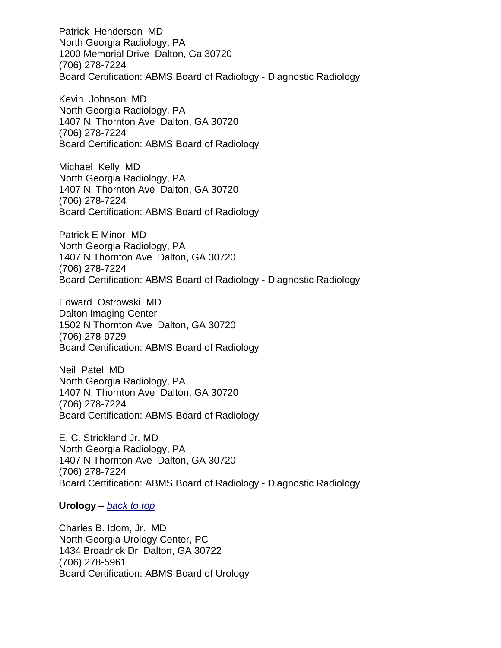Patrick Henderson MD North Georgia Radiology, PA 1200 Memorial Drive Dalton, Ga 30720 (706) 278-7224 Board Certification: ABMS Board of Radiology - Diagnostic Radiology

Kevin Johnson MD North Georgia Radiology, PA 1407 N. Thornton Ave Dalton, GA 30720 (706) 278-7224 Board Certification: ABMS Board of Radiology

Michael Kelly MD North Georgia Radiology, PA 1407 N. Thornton Ave Dalton, GA 30720 (706) 278-7224 Board Certification: ABMS Board of Radiology

Patrick E Minor MD North Georgia Radiology, PA 1407 N Thornton Ave Dalton, GA 30720 (706) 278-7224 Board Certification: ABMS Board of Radiology - Diagnostic Radiology

Edward Ostrowski MD Dalton Imaging Center 1502 N Thornton Ave Dalton, GA 30720 (706) 278-9729 Board Certification: ABMS Board of Radiology

Neil Patel MD North Georgia Radiology, PA 1407 N. Thornton Ave Dalton, GA 30720 (706) 278-7224 Board Certification: ABMS Board of Radiology

E. C. Strickland Jr. MD North Georgia Radiology, PA 1407 N Thornton Ave Dalton, GA 30720 (706) 278-7224 Board Certification: ABMS Board of Radiology - Diagnostic Radiology

<span id="page-38-0"></span>**Urology –** *[back to top](#page-0-1)*

Charles B. Idom, Jr. MD North Georgia Urology Center, PC 1434 Broadrick Dr Dalton, GA 30722 (706) 278-5961 Board Certification: ABMS Board of Urology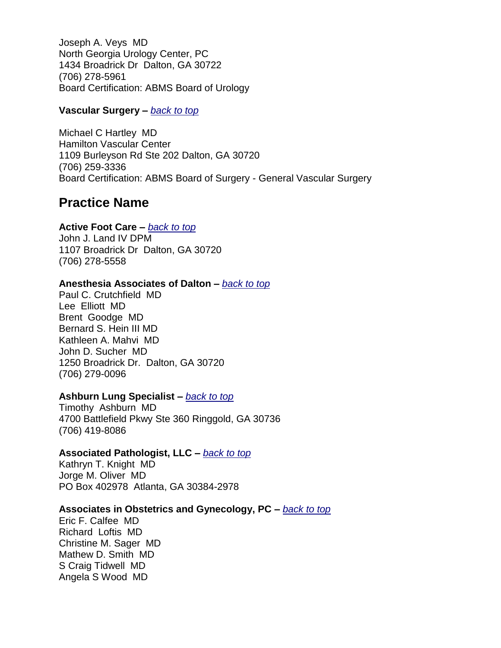Joseph A. Veys MD North Georgia Urology Center, PC 1434 Broadrick Dr Dalton, GA 30722 (706) 278-5961 Board Certification: ABMS Board of Urology

## <span id="page-39-0"></span>**Vascular Surgery –** *[back to top](#page-0-1)*

Michael C Hartley MD Hamilton Vascular Center 1109 Burleyson Rd Ste 202 Dalton, GA 30720 (706) 259-3336 Board Certification: ABMS Board of Surgery - General Vascular Surgery

## <span id="page-39-1"></span>**Practice Name**

## **Active Foot Care –** *[back to top](#page-0-1)*

John J. Land IV DPM 1107 Broadrick Dr Dalton, GA 30720 (706) 278-5558

## **Anesthesia Associates of Dalton –** *[back to top](#page-0-1)*

Paul C. Crutchfield MD Lee Elliott MD Brent Goodge MD Bernard S. Hein III MD Kathleen A. Mahvi MD John D. Sucher MD 1250 Broadrick Dr. Dalton, GA 30720 (706) 279-0096

## **Ashburn Lung Specialist –** *[back to top](#page-0-1)*

Timothy Ashburn MD 4700 Battlefield Pkwy Ste 360 Ringgold, GA 30736 (706) 419-8086

## **Associated Pathologist, LLC –** *[back to top](#page-0-1)*

Kathryn T. Knight MD Jorge M. Oliver MD PO Box 402978 Atlanta, GA 30384-2978

## **Associates in Obstetrics and Gynecology, PC –** *[back to top](#page-0-1)*

Eric F. Calfee MD Richard Loftis MD Christine M. Sager MD Mathew D. Smith MD S Craig Tidwell MD Angela S Wood MD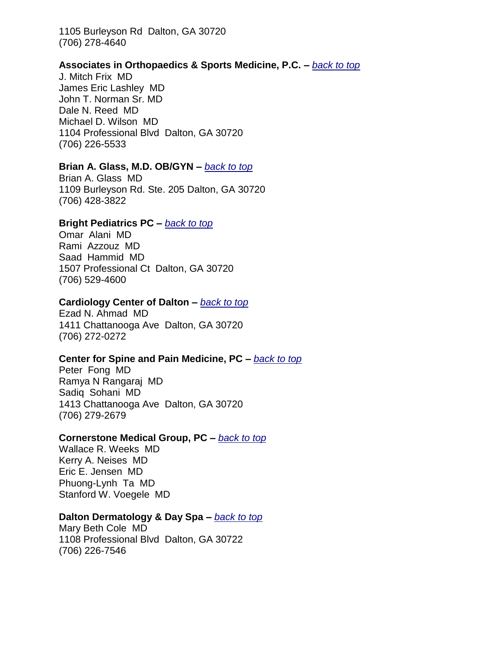1105 Burleyson Rd Dalton, GA 30720 (706) 278-4640

## **Associates in Orthopaedics & Sports Medicine, P.C. –** *[back to top](#page-0-1)*

J. Mitch Frix MD James Eric Lashley MD John T. Norman Sr. MD Dale N. Reed MD Michael D. Wilson MD 1104 Professional Blvd Dalton, GA 30720 (706) 226-5533

### <span id="page-40-0"></span>**Brian A. Glass, M.D. OB/GYN –** *[back to top](#page-0-1)*

Brian A. Glass MD 1109 Burleyson Rd. Ste. 205 Dalton, GA 30720 (706) 428-3822

#### **Bright Pediatrics PC –** *[back to top](#page-0-1)*

Omar Alani MD Rami Azzouz MD Saad Hammid MD 1507 Professional Ct Dalton, GA 30720 (706) 529-4600

### <span id="page-40-1"></span>**Cardiology Center of Dalton –** *[back to top](#page-0-1)*

Ezad N. Ahmad MD 1411 Chattanooga Ave Dalton, GA 30720 (706) 272-0272

#### **Center for Spine and Pain Medicine, PC –** *[back to top](#page-0-1)*

Peter Fong MD Ramya N Rangaraj MD Sadiq Sohani MD 1413 Chattanooga Ave Dalton, GA 30720 (706) 279-2679

### **Cornerstone Medical Group, PC –** *[back to top](#page-0-1)*

Wallace R. Weeks MD Kerry A. Neises MD Eric E. Jensen MD Phuong-Lynh Ta MD Stanford W. Voegele MD

#### <span id="page-40-2"></span>**Dalton Dermatology & Day Spa –** *[back to top](#page-0-1)*

Mary Beth Cole MD 1108 Professional Blvd Dalton, GA 30722 (706) 226-7546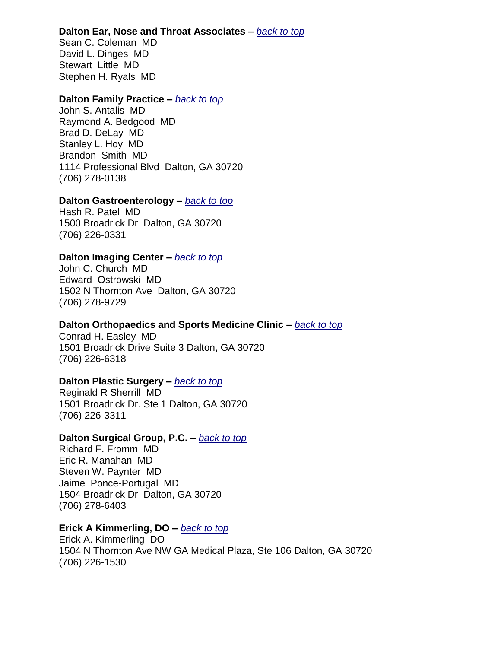### **Dalton Ear, Nose and Throat Associates –** *[back to top](#page-0-1)*

Sean C. Coleman MD David L. Dinges MD Stewart Little MD Stephen H. Ryals MD

### **Dalton Family Practice –** *[back to top](#page-0-1)*

John S. Antalis MD Raymond A. Bedgood MD Brad D. DeLay MD Stanley L. Hoy MD Brandon Smith MD 1114 Professional Blvd Dalton, GA 30720 (706) 278-0138

## **Dalton Gastroenterology –** *[back to top](#page-0-1)*

Hash R. Patel MD 1500 Broadrick Dr Dalton, GA 30720 (706) 226-0331

## **Dalton Imaging Center –** *[back to top](#page-0-1)*

John C. Church MD Edward Ostrowski MD 1502 N Thornton Ave Dalton, GA 30720 (706) 278-9729

## **Dalton Orthopaedics and Sports Medicine Clinic –** *[back to top](#page-0-1)*

Conrad H. Easley MD 1501 Broadrick Drive Suite 3 Dalton, GA 30720 (706) 226-6318

## **Dalton Plastic Surgery –** *[back to top](#page-0-1)*

Reginald R Sherrill MD 1501 Broadrick Dr. Ste 1 Dalton, GA 30720 (706) 226-3311

## **Dalton Surgical Group, P.C. –** *[back to top](#page-0-1)*

Richard F. Fromm MD Eric R. Manahan MD Steven W. Paynter MD Jaime Ponce-Portugal MD 1504 Broadrick Dr Dalton, GA 30720 (706) 278-6403

## <span id="page-41-0"></span>**Erick A Kimmerling, DO –** *[back to top](#page-0-1)*

Erick A. Kimmerling DO 1504 N Thornton Ave NW GA Medical Plaza, Ste 106 Dalton, GA 30720 (706) 226-1530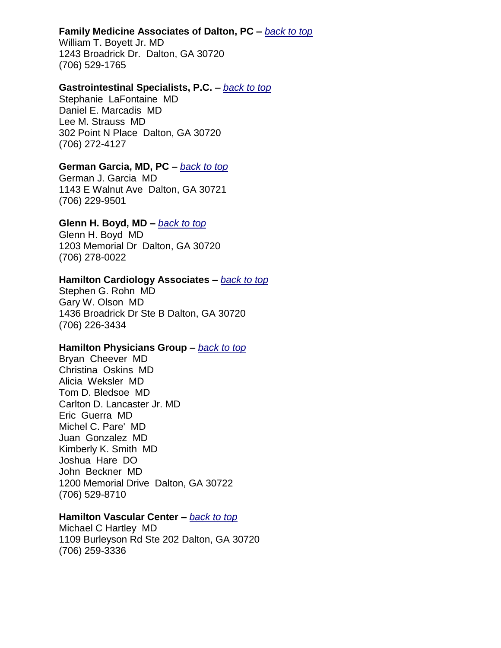### <span id="page-42-0"></span>**Family Medicine Associates of Dalton, PC –** *[back to top](#page-0-1)*

William T. Boyett Jr. MD 1243 Broadrick Dr. Dalton, GA 30720 (706) 529-1765

### <span id="page-42-1"></span>**Gastrointestinal Specialists, P.C. –** *[back to top](#page-0-1)*

Stephanie LaFontaine MD Daniel E. Marcadis MD Lee M. Strauss MD 302 Point N Place Dalton, GA 30720 (706) 272-4127

### **German Garcia, MD, PC –** *[back to top](#page-0-1)*

German J. Garcia MD 1143 E Walnut Ave Dalton, GA 30721 (706) 229-9501

## **Glenn H. Boyd, MD –** *[back to top](#page-0-1)*

Glenn H. Boyd MD 1203 Memorial Dr Dalton, GA 30720 (706) 278-0022

### <span id="page-42-2"></span>**Hamilton Cardiology Associates –** *[back to top](#page-0-1)*

Stephen G. Rohn MD Gary W. Olson MD 1436 Broadrick Dr Ste B Dalton, GA 30720 (706) 226-3434

## **Hamilton Physicians Group –** *[back to top](#page-0-1)*

Bryan Cheever MD Christina Oskins MD Alicia Weksler MD Tom D. Bledsoe MD Carlton D. Lancaster Jr. MD Eric Guerra MD Michel C. Pare' MD Juan Gonzalez MD Kimberly K. Smith MD Joshua Hare DO John Beckner MD 1200 Memorial Drive Dalton, GA 30722 (706) 529-8710

### **Hamilton Vascular Center –** *[back to top](#page-0-1)*

Michael C Hartley MD 1109 Burleyson Rd Ste 202 Dalton, GA 30720 (706) 259-3336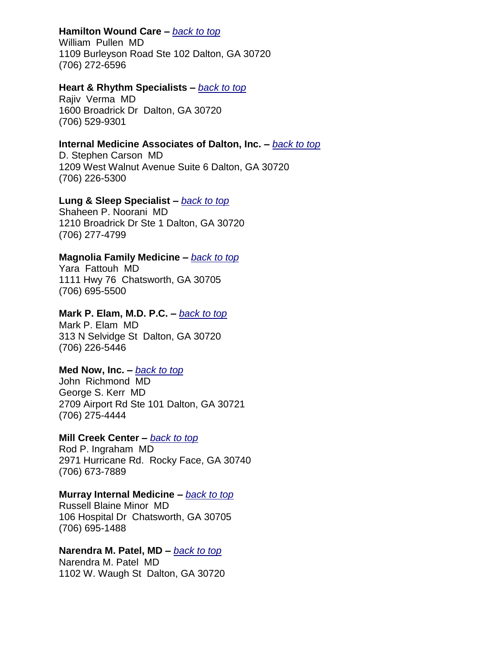## **Hamilton Wound Care –** *[back to top](#page-0-1)*

William Pullen MD 1109 Burleyson Road Ste 102 Dalton, GA 30720 (706) 272-6596

## **Heart & Rhythm Specialists –** *[back to top](#page-0-1)*

Rajiv Verma MD 1600 Broadrick Dr Dalton, GA 30720 (706) 529-9301

## <span id="page-43-0"></span>**Internal Medicine Associates of Dalton, Inc. –** *[back to top](#page-0-1)*

D. Stephen Carson MD 1209 West Walnut Avenue Suite 6 Dalton, GA 30720 (706) 226-5300

### <span id="page-43-1"></span>**Lung & Sleep Specialist –** *[back to top](#page-0-1)*

Shaheen P. Noorani MD 1210 Broadrick Dr Ste 1 Dalton, GA 30720 (706) 277-4799

### <span id="page-43-2"></span>**Magnolia Family Medicine –** *[back to top](#page-0-1)*

Yara Fattouh MD 1111 Hwy 76 Chatsworth, GA 30705 (706) 695-5500

### **Mark P. Elam, M.D. P.C. –** *[back to top](#page-0-1)*

Mark P. Elam MD 313 N Selvidge St Dalton, GA 30720 (706) 226-5446

## **Med Now, Inc. –** *[back to top](#page-0-1)*

John Richmond MD George S. Kerr MD 2709 Airport Rd Ste 101 Dalton, GA 30721 (706) 275-4444

### **Mill Creek Center –** *[back to top](#page-0-1)*

Rod P. Ingraham MD 2971 Hurricane Rd. Rocky Face, GA 30740 (706) 673-7889

## **Murray Internal Medicine –** *[back to top](#page-0-1)*

Russell Blaine Minor MD 106 Hospital Dr Chatsworth, GA 30705 (706) 695-1488

### <span id="page-43-3"></span>**Narendra M. Patel, MD –** *[back to top](#page-0-1)*

Narendra M. Patel MD 1102 W. Waugh St Dalton, GA 30720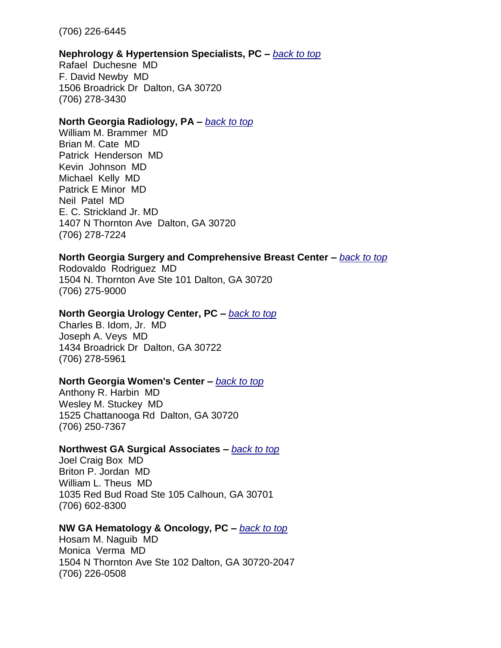(706) 226-6445

### **Nephrology & Hypertension Specialists, PC –** *[back to top](#page-0-1)*

Rafael Duchesne MD F. David Newby MD 1506 Broadrick Dr Dalton, GA 30720 (706) 278-3430

### **North Georgia Radiology, PA –** *[back to top](#page-0-1)*

William M. Brammer MD Brian M. Cate MD Patrick Henderson MD Kevin Johnson MD Michael Kelly MD Patrick E Minor MD Neil Patel MD E. C. Strickland Jr. MD 1407 N Thornton Ave Dalton, GA 30720 (706) 278-7224

### **North Georgia Surgery and Comprehensive Breast Center –** *[back to top](#page-0-1)*

Rodovaldo Rodriguez MD 1504 N. Thornton Ave Ste 101 Dalton, GA 30720 (706) 275-9000

## **North Georgia Urology Center, PC –** *[back to top](#page-0-1)*

Charles B. Idom, Jr. MD Joseph A. Veys MD 1434 Broadrick Dr Dalton, GA 30722 (706) 278-5961

## **North Georgia Women's Center –** *[back to top](#page-0-1)*

Anthony R. Harbin MD Wesley M. Stuckey MD 1525 Chattanooga Rd Dalton, GA 30720 (706) 250-7367

## **Northwest GA Surgical Associates –** *[back to top](#page-0-1)*

Joel Craig Box MD Briton P. Jordan MD William L. Theus MD 1035 Red Bud Road Ste 105 Calhoun, GA 30701 (706) 602-8300

## **NW GA Hematology & Oncology, PC –** *[back to top](#page-0-1)*

Hosam M. Naguib MD Monica Verma MD 1504 N Thornton Ave Ste 102 Dalton, GA 30720-2047 (706) 226-0508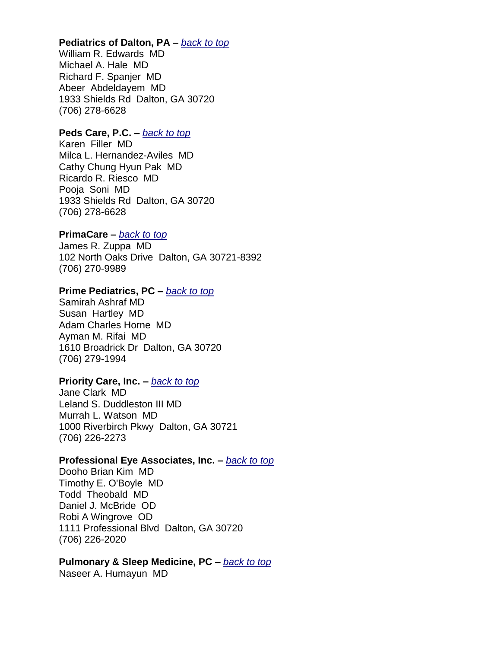### <span id="page-45-0"></span>**Pediatrics of Dalton, PA –** *[back to top](#page-0-1)*

William R. Edwards MD Michael A. Hale MD Richard F. Spanjer MD Abeer Abdeldayem MD 1933 Shields Rd Dalton, GA 30720 (706) 278-6628

### **Peds Care, P.C. –** *[back to top](#page-0-1)*

Karen Filler MD Milca L. Hernandez-Aviles MD Cathy Chung Hyun Pak MD Ricardo R. Riesco MD Pooja Soni MD 1933 Shields Rd Dalton, GA 30720 (706) 278-6628

### **PrimaCare –** *[back to top](#page-0-1)*

James R. Zuppa MD 102 North Oaks Drive Dalton, GA 30721-8392 (706) 270-9989

## **Prime Pediatrics, PC –** *[back to top](#page-0-1)*

Samirah Ashraf MD Susan Hartley MD Adam Charles Horne MD Ayman M. Rifai MD 1610 Broadrick Dr Dalton, GA 30720 (706) 279-1994

### **Priority Care, Inc. –** *[back to top](#page-0-1)*

Jane Clark MD Leland S. Duddleston III MD Murrah L. Watson MD 1000 Riverbirch Pkwy Dalton, GA 30721 (706) 226-2273

#### **Professional Eye Associates, Inc. –** *[back to top](#page-0-1)*

Dooho Brian Kim MD Timothy E. O'Boyle MD Todd Theobald MD Daniel J. McBride OD Robi A Wingrove OD 1111 Professional Blvd Dalton, GA 30720 (706) 226-2020

### **Pulmonary & Sleep Medicine, PC –** *[back to top](#page-0-1)*

Naseer A. Humayun MD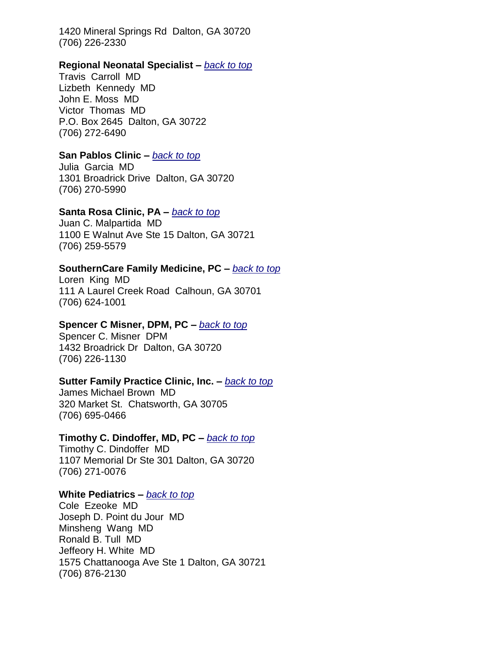1420 Mineral Springs Rd Dalton, GA 30720 (706) 226-2330

#### <span id="page-46-0"></span>**Regional Neonatal Specialist –** *[back to top](#page-0-1)*

Travis Carroll MD Lizbeth Kennedy MD John E. Moss MD Victor Thomas MD P.O. Box 2645 Dalton, GA 30722 (706) 272-6490

### <span id="page-46-1"></span>**San Pablos Clinic –** *[back to top](#page-0-1)*

Julia Garcia MD 1301 Broadrick Drive Dalton, GA 30720 (706) 270-5990

### **Santa Rosa Clinic, PA –** *[back to top](#page-0-1)*

Juan C. Malpartida MD 1100 E Walnut Ave Ste 15 Dalton, GA 30721 (706) 259-5579

### **SouthernCare Family Medicine, PC –** *[back to top](#page-0-1)*

Loren King MD 111 A Laurel Creek Road Calhoun, GA 30701 (706) 624-1001

### **Spencer C Misner, DPM, PC –** *[back to top](#page-0-1)*

Spencer C. Misner DPM 1432 Broadrick Dr Dalton, GA 30720 (706) 226-1130

### **Sutter Family Practice Clinic, Inc. –** *[back to top](#page-0-1)*

<span id="page-46-2"></span>James Michael Brown MD 320 Market St. Chatsworth, GA 30705 (706) 695-0466

### **Timothy C. Dindoffer, MD, PC –** *[back to top](#page-0-1)*

Timothy C. Dindoffer MD 1107 Memorial Dr Ste 301 Dalton, GA 30720 (706) 271-0076

### <span id="page-46-3"></span>**White Pediatrics –** *[back to top](#page-0-1)*

Cole Ezeoke MD Joseph D. Point du Jour MD Minsheng Wang MD Ronald B. Tull MD Jeffeory H. White MD 1575 Chattanooga Ave Ste 1 Dalton, GA 30721 (706) 876-2130